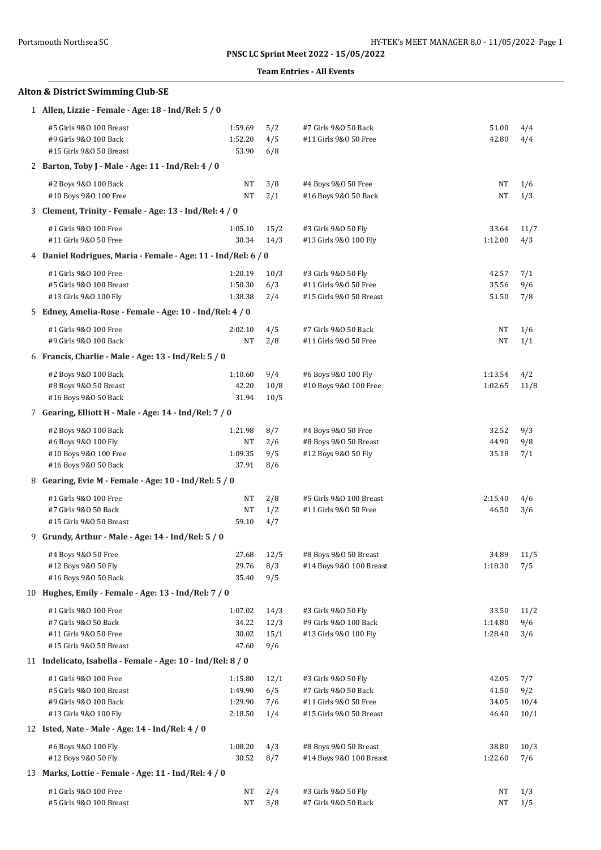### **Team Entries - All Events**

|  | Alton & District Swimming Club-SE |  |
|--|-----------------------------------|--|
|  |                                   |  |

| 1 Allen, Lizzie - Female - Age: 18 - Ind/Rel: 5 / 0                                                |                                          |                             |                                                                                                 |                                  |                            |
|----------------------------------------------------------------------------------------------------|------------------------------------------|-----------------------------|-------------------------------------------------------------------------------------------------|----------------------------------|----------------------------|
| #5 Girls 9&0 100 Breast<br>#9 Girls 9&0 100 Back<br>#15 Girls 9&0 50 Breast                        | 1:59.69<br>1:52.20<br>53.90              | 5/2<br>4/5<br>6/8           | #7 Girls 9&0 50 Back<br>#11 Girls 9&0 50 Free                                                   | 51.00<br>42.80                   | 4/4<br>4/4                 |
| 2 Barton, Toby J - Male - Age: 11 - Ind/Rel: 4 / 0                                                 |                                          |                             |                                                                                                 |                                  |                            |
| #2 Boys 9&0 100 Back<br>#10 Boys 9&0 100 Free                                                      | NT<br>NT                                 | 3/8<br>2/1                  | #4 Boys 9&0 50 Free<br>#16 Boys 9&0 50 Back                                                     | NT<br>$\rm{NT}$                  | 1/6<br>1/3                 |
| 3 Clement, Trinity - Female - Age: 13 - Ind/Rel: 4 / 0                                             |                                          |                             |                                                                                                 |                                  |                            |
| #1 Girls 9&0 100 Free<br>#11 Girls 9&0 50 Free                                                     | 1:05.10<br>30.34                         | 15/2<br>14/3                | #3 Girls 9&0 50 Fly<br>#13 Girls 9&0 100 Fly                                                    | 33.64<br>1:12.00                 | 11/7<br>4/3                |
| 4 Daniel Rodrigues, Maria - Female - Age: 11 - Ind/Rel: 6 / 0                                      |                                          |                             |                                                                                                 |                                  |                            |
| #1 Girls 9&0 100 Free                                                                              | 1:20.19                                  | 10/3                        | #3 Girls 9&0 50 Fly                                                                             | 42.57                            | 7/1                        |
| #5 Girls 9&0 100 Breast<br>#13 Girls 9&0 100 Fly                                                   | 1:50.30<br>1:38.38                       | 6/3<br>2/4                  | #11 Girls 9&0 50 Free<br>#15 Girls 9&0 50 Breast                                                | 35.56<br>51.50                   | 9/6<br>7/8                 |
| 5 Edney, Amelia-Rose - Female - Age: 10 - Ind/Rel: 4 / 0                                           |                                          |                             |                                                                                                 |                                  |                            |
| #1 Girls 9&0 100 Free<br>#9 Girls 9&0 100 Back                                                     | 2:02.10<br><b>NT</b>                     | 4/5<br>2/8                  | #7 Girls 9&0 50 Back<br>#11 Girls 9&0 50 Free                                                   | NT<br>NT                         | 1/6<br>1/1                 |
| 6 Francis, Charlie - Male - Age: 13 - Ind/Rel: 5 / 0                                               |                                          |                             |                                                                                                 |                                  |                            |
| #2 Boys 9&0 100 Back<br>#8 Boys 9&0 50 Breast<br>#16 Boys 9&0 50 Back                              | 1:10.60<br>42.20<br>31.94                | 9/4<br>10/8<br>10/5         | #6 Boys 9&0 100 Fly<br>#10 Boys 9&0 100 Free                                                    | 1:13.54<br>1:02.65               | 4/2<br>11/8                |
| 7 Gearing, Elliott H - Male - Age: 14 - Ind/Rel: 7 / 0                                             |                                          |                             |                                                                                                 |                                  |                            |
| #2 Boys 9&0 100 Back<br>#6 Boys 9&0 100 Fly                                                        | 1:21.98<br>NT                            | 8/7<br>2/6                  | #4 Boys 9&0 50 Free<br>#8 Boys 9&0 50 Breast                                                    | 32.52<br>44.90                   | 9/3<br>9/8                 |
| #10 Boys 9&0 100 Free<br>#16 Boys 9&0 50 Back                                                      | 1:09.35<br>37.91                         | 9/5<br>8/6                  | #12 Boys 9&0 50 Fly                                                                             | 35.18                            | 7/1                        |
| 8 Gearing, Evie M - Female - Age: 10 - Ind/Rel: 5 / 0                                              |                                          |                             |                                                                                                 |                                  |                            |
| #1 Girls 9&0 100 Free<br>#7 Girls 9&0 50 Back                                                      | NT<br><b>NT</b>                          | 2/8<br>1/2                  | #5 Girls 9&0 100 Breast<br>#11 Girls 9&0 50 Free                                                | 2:15.40<br>46.50                 | 4/6<br>3/6                 |
| #15 Girls 9&0 50 Breast<br>9 Grundy, Arthur - Male - Age: 14 - Ind/Rel: 5 / 0                      | 59.10                                    | 4/7                         |                                                                                                 |                                  |                            |
|                                                                                                    |                                          |                             |                                                                                                 |                                  |                            |
| #4 Boys 9&0 50 Free<br>#12 Boys 9&0 50 Fly<br>#16 Boys 9&0 50 Back                                 | 27.68<br>29.76<br>35.40                  | 12/5<br>8/3<br>9/5          | #8 Boys 9&0 50 Breast<br>#14 Boys 9&0 100 Breast                                                | 34.89<br>1:18.30                 | 11/5<br>7/5                |
| 10 Hughes, Emily - Female - Age: 13 - Ind/Rel: 7 / 0                                               |                                          |                             |                                                                                                 |                                  |                            |
| #1 Girls 9&0 100 Free<br>#7 Girls 9&0 50 Back<br>#11 Girls 9&0 50 Free<br>#15 Girls 9&0 50 Breast  | 1:07.02<br>34.22<br>30.02<br>47.60       | 14/3<br>12/3<br>15/1<br>9/6 | #3 Girls 9&0 50 Fly<br>#9 Girls 9&0 100 Back<br>#13 Girls 9&0 100 Fly                           | 33.50<br>1:14.80<br>1:28.40      | 11/2<br>9/6<br>3/6         |
| 11 Indelicato, Isabella - Female - Age: 10 - Ind/Rel: 8 / 0                                        |                                          |                             |                                                                                                 |                                  |                            |
| #1 Girls 9&0 100 Free<br>#5 Girls 9&0 100 Breast<br>#9 Girls 9&0 100 Back<br>#13 Girls 9&0 100 Fly | 1:15.80<br>1:49.90<br>1:29.90<br>2:18.50 | 12/1<br>6/5<br>7/6<br>1/4   | #3 Girls 9&0 50 Fly<br>#7 Girls 9&0 50 Back<br>#11 Girls 9&0 50 Free<br>#15 Girls 9&0 50 Breast | 42.05<br>41.50<br>34.05<br>46.40 | 7/7<br>9/2<br>10/4<br>10/1 |
| 12 Isted, Nate - Male - Age: 14 - Ind/Rel: 4 / 0                                                   |                                          |                             |                                                                                                 |                                  |                            |
| #6 Boys 9&0 100 Fly<br>#12 Boys 9&0 50 Fly                                                         | 1:08.20<br>30.52                         | 4/3<br>8/7                  | #8 Boys 9&0 50 Breast<br>#14 Boys 9&0 100 Breast                                                | 38.80<br>1:22.60                 | 10/3<br>7/6                |
| 13 Marks, Lottie - Female - Age: 11 - Ind/Rel: 4 / 0                                               |                                          |                             |                                                                                                 |                                  |                            |
| #1 Girls 9&0 100 Free<br>#5 Girls 9&0 100 Breast                                                   | NT<br>NT                                 | 2/4<br>3/8                  | #3 Girls 9&0 50 Fly<br>#7 Girls 9&0 50 Back                                                     | NΤ<br>NT                         | 1/3<br>1/5                 |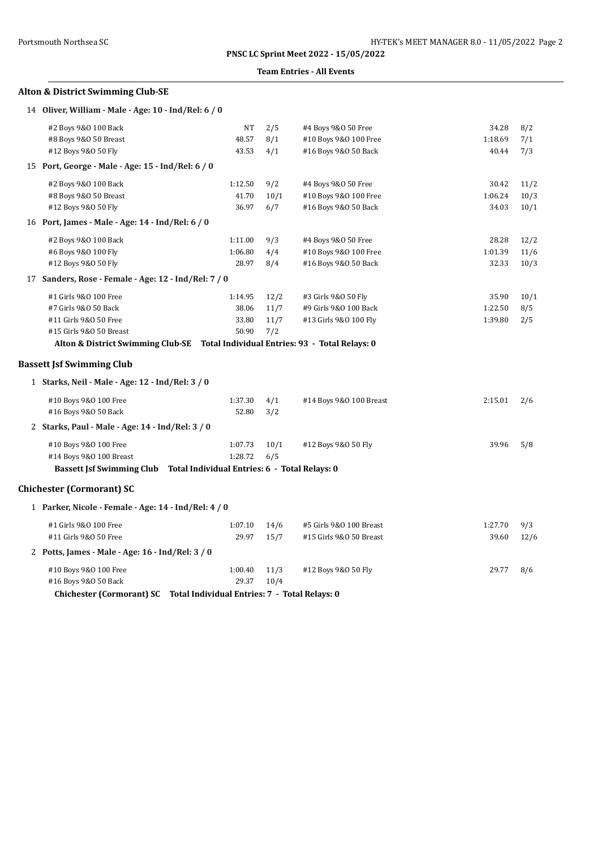#### **Team Entries - All Events**

## **Alton & District Swimming Club-SE**

| 14 Oliver, William - Male - Age: 10 - Ind/Rel: 6 / 0 |  |  |  |  |  |  |  |
|------------------------------------------------------|--|--|--|--|--|--|--|
|------------------------------------------------------|--|--|--|--|--|--|--|

|    | #2 Boys 9&0 100 Back                              | <b>NT</b> | 2/5  | #4 Boys 9&0 50 Free                            | 34.28   | 8/2  |
|----|---------------------------------------------------|-----------|------|------------------------------------------------|---------|------|
|    | #8 Boys 9&0 50 Breast                             | 48.57     | 8/1  | #10 Boys 9&0 100 Free                          | 1:18.69 | 7/1  |
|    | #12 Boys 9&0 50 Fly                               | 43.53     | 4/1  | #16 Boys 9&0 50 Back                           | 40.44   | 7/3  |
| 15 | Port, George - Male - Age: 15 - Ind/Rel: 6 / 0    |           |      |                                                |         |      |
|    | #2 Boys 9&0 100 Back                              | 1:12.50   | 9/2  | #4 Boys 9&0 50 Free                            | 30.42   | 11/2 |
|    | #8 Boys 9&0 50 Breast                             | 41.70     | 10/1 | #10 Boys 9&0 100 Free                          | 1:06.24 | 10/3 |
|    | #12 Boys 9&0 50 Fly                               | 36.97     | 6/7  | #16 Boys 9&0 50 Back                           | 34.03   | 10/1 |
|    | 16 Port, James - Male - Age: 14 - Ind/Rel: 6 / 0  |           |      |                                                |         |      |
|    | #2 Boys 9&0 100 Back                              | 1:11.00   | 9/3  | #4 Boys 9&0 50 Free                            | 28.28   | 12/2 |
|    | #6 Boys 9&0 100 Fly                               | 1:06.80   | 4/4  | #10 Boys 9&0 100 Free                          | 1:01.39 | 11/6 |
|    | #12 Boys 9&0 50 Fly                               | 28.97     | 8/4  | #16 Boys 9&0 50 Back                           | 32.33   | 10/3 |
| 17 | Sanders, Rose - Female - Age: 12 - Ind/Rel: 7 / 0 |           |      |                                                |         |      |
|    | #1 Girls 9&0 100 Free                             | 1:14.95   | 12/2 | #3 Girls 9&0 50 Fly                            | 35.90   | 10/1 |
|    | #7 Girls 9&0 50 Back                              | 38.06     | 11/7 | #9 Girls 9&0 100 Back                          | 1:22.50 | 8/5  |
|    | #11 Girls 9&0 50 Free                             | 33.80     | 11/7 | #13 Girls 9&0 100 Fly                          | 1:39.80 | 2/5  |
|    | #15 Girls 9&0 50 Breast                           | 50.90     | 7/2  |                                                |         |      |
|    | Alton & District Swimming Club-SE                 |           |      | Total Individual Entries: 93 - Total Relays: 0 |         |      |
|    | <b>Bassett Jsf Swimming Club</b>                  |           |      |                                                |         |      |
|    | 1 Starks, Neil - Male - Age: 12 - Ind/Rel: 3 / 0  |           |      |                                                |         |      |
|    | #10 Boys 9&0 100 Free                             | 1:37.30   | 4/1  | #14 Boys 9&0 100 Breast                        | 2:15.01 | 2/6  |
|    | #16 Boys 9&0 50 Back                              | 52.80     | 3/2  |                                                |         |      |
|    | 2 Starks, Paul - Male - Age: 14 - Ind/Rel: 3 / 0  |           |      |                                                |         |      |
|    | #10 Boys 9&0 100 Free                             | 1:07.73   | 10/1 | #12 Boys 9&0 50 Fly                            | 39.96   | 5/8  |
|    | #14 Boys 9&0 100 Breast                           | 1:28.72   | 6/5  |                                                |         |      |

**Bassett Jsf Swimming Club Total Individual Entries: 6 - Total Relays: 0**

### **Chichester (Cormorant) SC**

| 1 Parker, Nicole - Female - Age: 14 - Ind/Rel: 4 / 0 |                  |              |                         |         |      |
|------------------------------------------------------|------------------|--------------|-------------------------|---------|------|
| #1 Girls 9&0 100 Free                                | 1:07.10          | 14/6         | #5 Girls 9&0 100 Breast | 1:27.70 | 9/3  |
| #11 Girls 9&0 50 Free                                | 29.97            | 15/7         | #15 Girls 9&0 50 Breast | 39.60   | 12/6 |
| 2 Potts, James - Male - Age: 16 - Ind/Rel: 3 / 0     |                  |              |                         |         |      |
| #10 Boys 9&0 100 Free<br>#16 Boys 9&0 50 Back        | 1:00.40<br>29.37 | 11/3<br>10/4 | #12 Boys 9&0 50 Fly     | 29.77   | 8/6  |

**Chichester (Cormorant) SC Total Individual Entries: 7 - Total Relays: 0**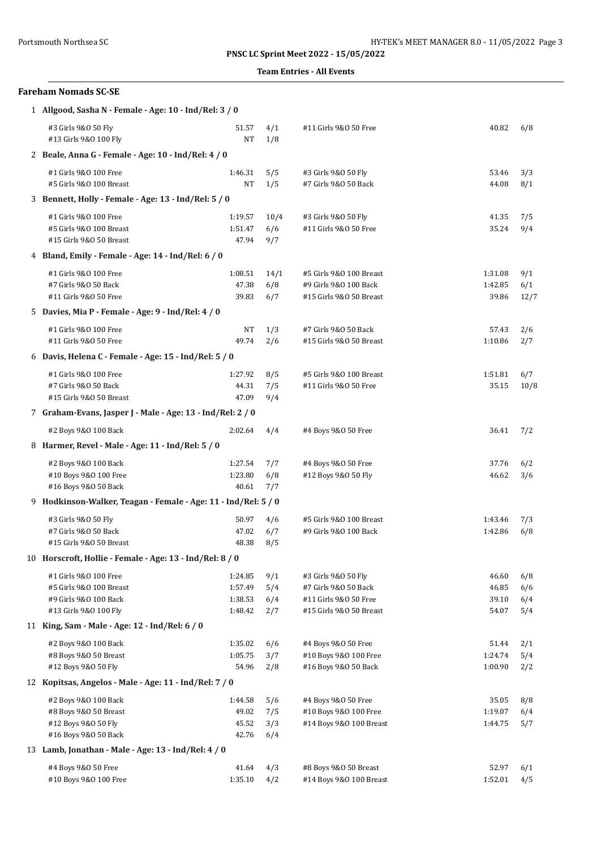### **Team Entries - All Events**

| <b>Fareham Nomads SC-SE</b>                                    |                    |            |                                               |                |            |
|----------------------------------------------------------------|--------------------|------------|-----------------------------------------------|----------------|------------|
| 1 Allgood, Sasha N - Female - Age: 10 - Ind/Rel: 3 / 0         |                    |            |                                               |                |            |
| #3 Girls 9&0 50 Fly<br>#13 Girls 9&0 100 Fly                   | 51.57<br>NT        | 4/1<br>1/8 | #11 Girls 9&0 50 Free                         | 40.82          | 6/8        |
| 2 Beale, Anna G - Female - Age: 10 - Ind/Rel: 4 / 0            |                    |            |                                               |                |            |
| #1 Girls 9&0 100 Free                                          | 1:46.31            | 5/5        | #3 Girls 9&0 50 Fly                           | 53.46          | 3/3        |
| #5 Girls 9&0 100 Breast                                        | NT                 | 1/5        | #7 Girls 9&0 50 Back                          | 44.08          | 8/1        |
| 3 Bennett, Holly - Female - Age: 13 - Ind/Rel: 5 / 0           |                    |            |                                               |                |            |
| #1 Girls 9&0 100 Free                                          | 1:19.57            | 10/4       | #3 Girls 9&0 50 Fly                           | 41.35          | 7/5        |
| #5 Girls 9&0 100 Breast                                        | 1:51.47            | 6/6        | #11 Girls 9&0 50 Free                         | 35.24          | 9/4        |
| #15 Girls 9&0 50 Breast                                        | 47.94              | 9/7        |                                               |                |            |
| 4 Bland, Emily - Female - Age: 14 - Ind/Rel: 6 / 0             |                    |            |                                               |                |            |
| #1 Girls 9&0 100 Free                                          | 1:08.51            | 14/1       | #5 Girls 9&0 100 Breast                       | 1:31.08        | 9/1        |
| #7 Girls 9&0 50 Back                                           | 47.38              | 6/8        | #9 Girls 9&0 100 Back                         | 1:42.85        | 6/1        |
| #11 Girls 9&0 50 Free                                          | 39.83              | 6/7        | #15 Girls 9&0 50 Breast                       | 39.86          | 12/7       |
| 5 Davies, Mia P - Female - Age: 9 - Ind/Rel: 4 / 0             |                    |            |                                               |                |            |
| #1 Girls 9&0 100 Free                                          | NT                 | 1/3        | #7 Girls 9&0 50 Back                          | 57.43          | 2/6        |
| #11 Girls 9&0 50 Free                                          | 49.74              | 2/6        | #15 Girls 9&0 50 Breast                       | 1:10.86        | 2/7        |
| 6 Davis, Helena C - Female - Age: 15 - Ind/Rel: 5 / 0          |                    |            |                                               |                |            |
| #1 Girls 9&0 100 Free                                          | 1:27.92            | 8/5        | #5 Girls 9&0 100 Breast                       | 1:51.81        | 6/7        |
| #7 Girls 9&0 50 Back                                           | 44.31              | 7/5        | #11 Girls 9&0 50 Free                         | 35.15          | 10/8       |
| #15 Girls 9&0 50 Breast                                        | 47.09              | 9/4        |                                               |                |            |
| 7 Graham-Evans, Jasper J - Male - Age: 13 - Ind/Rel: 2 / 0     |                    |            |                                               |                |            |
| #2 Boys 9&0 100 Back                                           | 2:02.64            | 4/4        | #4 Boys 9&0 50 Free                           | 36.41          | 7/2        |
| 8 Harmer, Revel - Male - Age: 11 - Ind/Rel: 5 / 0              |                    |            |                                               |                |            |
| #2 Boys 9&0 100 Back                                           | 1:27.54            | 7/7        | #4 Boys 9&0 50 Free                           | 37.76          | 6/2        |
| #10 Boys 9&0 100 Free                                          | 1:23.80            | 6/8        | #12 Boys 9&0 50 Fly                           | 46.62          | 3/6        |
| #16 Boys 9&0 50 Back                                           | 40.61              | 7/7        |                                               |                |            |
| 9 Hodkinson-Walker, Teagan - Female - Age: 11 - Ind/Rel: 5 / 0 |                    |            |                                               |                |            |
| #3 Girls 9&0 50 Fly                                            | 50.97              | 4/6        | #5 Girls 9&0 100 Breast                       | 1:43.46        | 7/3        |
| #7 Girls 9&0 50 Back                                           | 47.02              | 6/7        | #9 Girls 9&0 100 Back                         | 1:42.86        | 6/8        |
| #15 Girls 9&0 50 Breast                                        | 48.38              | 8/5        |                                               |                |            |
| 10 Horscroft, Hollie - Female - Age: 13 - Ind/Rel: 8 / 0       |                    |            |                                               |                |            |
| #1 Girls 9&0 100 Free                                          | 1:24.85            | 9/1        | #3 Girls 9&0 50 Fly                           | 46.60          | 6/8        |
| #5 Girls 9&0 100 Breast<br>#9 Girls 9&0 100 Back               | 1:57.49<br>1:38.53 | 5/4        | #7 Girls 9&0 50 Back<br>#11 Girls 9&0 50 Free | 46.85<br>39.10 | 6/6        |
| #13 Girls 9&0 100 Fly                                          | 1:48.42            | 6/4<br>2/7 | #15 Girls 9&0 50 Breast                       | 54.07          | 6/4<br>5/4 |
| 11 King, Sam - Male - Age: 12 - Ind/Rel: 6 / 0                 |                    |            |                                               |                |            |
| #2 Boys 9&0 100 Back                                           | 1:35.02            | 6/6        | #4 Boys 9&0 50 Free                           | 51.44          | 2/1        |
| #8 Boys 9&0 50 Breast                                          | 1:05.75            | 3/7        | #10 Boys 9&0 100 Free                         | 1:24.74        | 5/4        |
| #12 Boys 9&0 50 Fly                                            | 54.96              | 2/8        | #16 Boys 9&0 50 Back                          | 1:00.90        | 2/2        |
| 12 Kopitsas, Angelos - Male - Age: 11 - Ind/Rel: 7 / 0         |                    |            |                                               |                |            |
| #2 Boys 9&0 100 Back                                           | 1:44.58            | 5/6        | #4 Boys 9&0 50 Free                           | 35.05          | 8/8        |
| #8 Boys 9&0 50 Breast                                          | 49.02              | 7/5        | #10 Boys 9&0 100 Free                         | 1:19.07        | 6/4        |
| #12 Boys 9&0 50 Fly                                            | 45.52              | 3/3        | #14 Boys 9&0 100 Breast                       | 1:44.75        | 5/7        |
| #16 Boys 9&0 50 Back                                           | 42.76              | 6/4        |                                               |                |            |
| 13 Lamb, Jonathan - Male - Age: 13 - Ind/Rel: 4 / 0            |                    |            |                                               |                |            |
| #4 Boys 9&0 50 Free                                            | 41.64              | 4/3        | #8 Boys 9&0 50 Breast                         | 52.97          | 6/1        |
| #10 Boys 9&0 100 Free                                          | 1:35.10            | 4/2        | #14 Boys 9&0 100 Breast                       | 1:52.01        | 4/5        |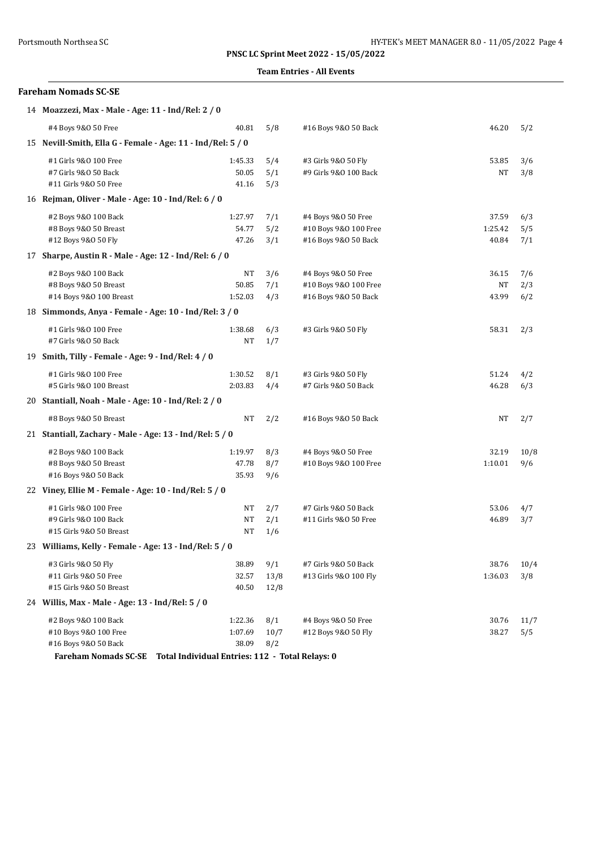### **Team Entries - All Events**

| <b>Fareham Nomads SC-SE</b>                                 |                                                 |      |                       |         |      |  |  |  |  |
|-------------------------------------------------------------|-------------------------------------------------|------|-----------------------|---------|------|--|--|--|--|
| 14 Moazzezi, Max - Male - Age: 11 - Ind/Rel: 2 / 0          |                                                 |      |                       |         |      |  |  |  |  |
| #4 Boys 9&0 50 Free                                         | 40.81                                           | 5/8  | #16 Boys 9&0 50 Back  | 46.20   | 5/2  |  |  |  |  |
| 15 Nevill-Smith, Ella G - Female - Age: 11 - Ind/Rel: 5 / 0 |                                                 |      |                       |         |      |  |  |  |  |
| #1 Girls 9&0 100 Free                                       | 1:45.33                                         | 5/4  | #3 Girls 9&0 50 Fly   | 53.85   | 3/6  |  |  |  |  |
| #7 Girls 9&0 50 Back                                        | 50.05                                           | 5/1  | #9 Girls 9&0 100 Back | NT      | 3/8  |  |  |  |  |
| #11 Girls 9&0 50 Free                                       | 41.16                                           | 5/3  |                       |         |      |  |  |  |  |
| 16 Rejman, Oliver - Male - Age: 10 - Ind/Rel: 6 / 0         |                                                 |      |                       |         |      |  |  |  |  |
| #2 Boys 9&0 100 Back                                        | 1:27.97                                         | 7/1  | #4 Boys 9&0 50 Free   | 37.59   | 6/3  |  |  |  |  |
| #8 Boys 9&0 50 Breast                                       | 54.77                                           | 5/2  | #10 Boys 9&0 100 Free | 1:25.42 | 5/5  |  |  |  |  |
| #12 Boys 9&0 50 Fly                                         | 47.26                                           | 3/1  | #16 Boys 9&0 50 Back  | 40.84   | 7/1  |  |  |  |  |
| 17 Sharpe, Austin R - Male - Age: 12 - Ind/Rel: 6 / 0       |                                                 |      |                       |         |      |  |  |  |  |
| #2 Boys 9&0 100 Back                                        | NT                                              | 3/6  | #4 Boys 9&0 50 Free   | 36.15   | 7/6  |  |  |  |  |
| #8 Boys 9&0 50 Breast                                       | 50.85                                           | 7/1  | #10 Boys 9&0 100 Free | NT      | 2/3  |  |  |  |  |
| #14 Boys 9&0 100 Breast                                     | 1:52.03                                         | 4/3  | #16 Boys 9&0 50 Back  | 43.99   | 6/2  |  |  |  |  |
| 18 Simmonds, Anya - Female - Age: 10 - Ind/Rel: 3 / 0       |                                                 |      |                       |         |      |  |  |  |  |
| #1 Girls 9&0 100 Free                                       | 1:38.68                                         | 6/3  | #3 Girls 9&0 50 Fly   | 58.31   | 2/3  |  |  |  |  |
| #7 Girls 9&0 50 Back                                        | NT                                              | 1/7  |                       |         |      |  |  |  |  |
| 19 Smith, Tilly - Female - Age: 9 - Ind/Rel: 4 / 0          |                                                 |      |                       |         |      |  |  |  |  |
| #1 Girls 9&0 100 Free                                       | 1:30.52                                         | 8/1  | #3 Girls 9&0 50 Fly   | 51.24   | 4/2  |  |  |  |  |
| #5 Girls 9&0 100 Breast                                     | 2:03.83                                         | 4/4  | #7 Girls 9&0 50 Back  | 46.28   | 6/3  |  |  |  |  |
| 20 Stantiall, Noah - Male - Age: 10 - Ind/Rel: 2 / 0        |                                                 |      |                       |         |      |  |  |  |  |
| #8 Boys 9&0 50 Breast                                       | NT                                              | 2/2  | #16 Boys 9&0 50 Back  | NT      | 2/7  |  |  |  |  |
| 21 Stantiall, Zachary - Male - Age: 13 - Ind/Rel: 5 / 0     |                                                 |      |                       |         |      |  |  |  |  |
| #2 Boys 9&0 100 Back                                        | 1:19.97                                         | 8/3  | #4 Boys 9&0 50 Free   | 32.19   | 10/8 |  |  |  |  |
| #8 Boys 9&0 50 Breast                                       | 47.78                                           | 8/7  | #10 Boys 9&0 100 Free | 1:10.01 | 9/6  |  |  |  |  |
| #16 Boys 9&0 50 Back                                        | 35.93                                           | 9/6  |                       |         |      |  |  |  |  |
| 22 Viney, Ellie M - Female - Age: 10 - Ind/Rel: 5 / 0       |                                                 |      |                       |         |      |  |  |  |  |
| #1 Girls 9&0 100 Free                                       | NT                                              | 2/7  | #7 Girls 9&0 50 Back  | 53.06   | 4/7  |  |  |  |  |
| #9 Girls 9&0 100 Back                                       | NT                                              | 2/1  | #11 Girls 9&0 50 Free | 46.89   | 3/7  |  |  |  |  |
| #15 Girls 9&0 50 Breast                                     | $_{\rm NT}$                                     | 1/6  |                       |         |      |  |  |  |  |
| 23 Williams, Kelly - Female - Age: 13 - Ind/Rel: 5 / 0      |                                                 |      |                       |         |      |  |  |  |  |
| #3 Girls 9&0 50 Fly                                         | 38.89                                           | 9/1  | #7 Girls 9&0 50 Back  | 38.76   | 10/4 |  |  |  |  |
| #11 Girls 9&0 50 Free                                       | 32.57                                           | 13/8 | #13 Girls 9&0 100 Fly | 1:36.03 | 3/8  |  |  |  |  |
| #15 Girls 9&0 50 Breast                                     | 40.50                                           | 12/8 |                       |         |      |  |  |  |  |
| 24 Willis, Max - Male - Age: 13 - Ind/Rel: 5 / 0            |                                                 |      |                       |         |      |  |  |  |  |
| #2 Boys 9&0 100 Back                                        | 1:22.36                                         | 8/1  | #4 Boys 9&0 50 Free   | 30.76   | 11/7 |  |  |  |  |
| #10 Boys 9&0 100 Free                                       | 1:07.69                                         | 10/7 | #12 Boys 9&0 50 Fly   | 38.27   | 5/5  |  |  |  |  |
| #16 Boys 9&0 50 Back                                        | 38.09                                           | 8/2  |                       |         |      |  |  |  |  |
| <b>Fareham Nomads SC-SE</b>                                 | Total Individual Entries: 112 - Total Relays: 0 |      |                       |         |      |  |  |  |  |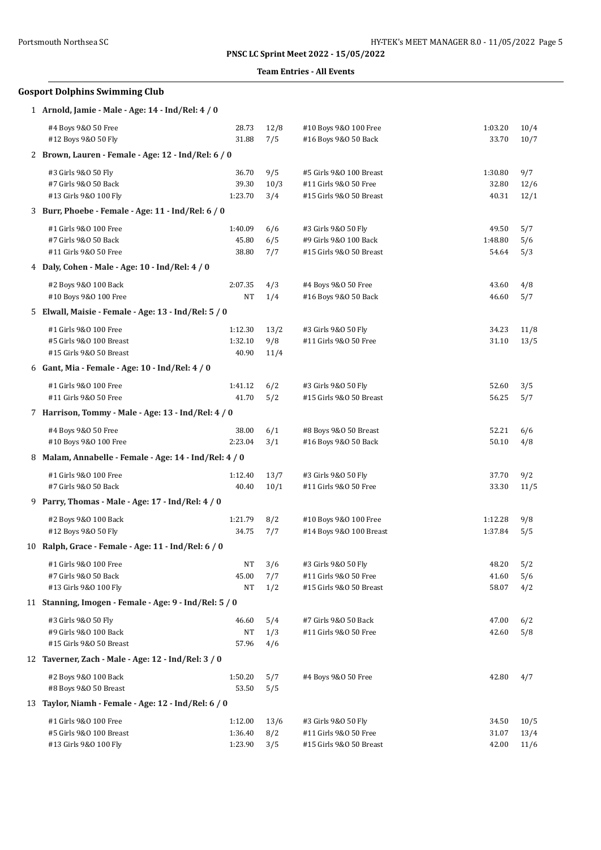### **Team Entries - All Events**

# **Gosport Dolphins Swimming Club**

|    | 1 Arnold, Jamie - Male - Age: 14 - Ind/Rel: 4 / 0      |           |      |                         |         |      |
|----|--------------------------------------------------------|-----------|------|-------------------------|---------|------|
|    | #4 Boys 9&0 50 Free                                    | 28.73     | 12/8 | #10 Boys 9&0 100 Free   | 1:03.20 | 10/4 |
|    | #12 Boys 9&0 50 Fly                                    | 31.88     | 7/5  | #16 Boys 9&0 50 Back    | 33.70   | 10/7 |
|    | 2 Brown, Lauren - Female - Age: 12 - Ind/Rel: 6 / 0    |           |      |                         |         |      |
|    | #3 Girls 9&0 50 Fly                                    | 36.70     | 9/5  | #5 Girls 9&0 100 Breast | 1:30.80 | 9/7  |
|    | #7 Girls 9&0 50 Back                                   | 39.30     | 10/3 | #11 Girls 9&0 50 Free   | 32.80   | 12/6 |
|    | #13 Girls 9&0 100 Fly                                  | 1:23.70   | 3/4  | #15 Girls 9&0 50 Breast | 40.31   | 12/1 |
|    | 3 Burr, Phoebe - Female - Age: 11 - Ind/Rel: 6 / 0     |           |      |                         |         |      |
|    | #1 Girls 9&0 100 Free                                  | 1:40.09   | 6/6  | #3 Girls 9&0 50 Fly     | 49.50   | 5/7  |
|    | #7 Girls 9&0 50 Back                                   | 45.80     | 6/5  | #9 Girls 9&0 100 Back   | 1:48.80 | 5/6  |
|    | #11 Girls 9&0 50 Free                                  | 38.80     | 7/7  | #15 Girls 9&0 50 Breast | 54.64   | 5/3  |
|    | 4 Daly, Cohen - Male - Age: 10 - Ind/Rel: 4 / 0        |           |      |                         |         |      |
|    | #2 Boys 9&0 100 Back                                   | 2:07.35   | 4/3  | #4 Boys 9&0 50 Free     | 43.60   | 4/8  |
|    | #10 Boys 9&0 100 Free                                  | NT        | 1/4  | #16 Boys 9&0 50 Back    | 46.60   | 5/7  |
|    | 5 Elwall, Maisie - Female - Age: 13 - Ind/Rel: 5 / 0   |           |      |                         |         |      |
|    | #1 Girls 9&0 100 Free                                  | 1:12.30   | 13/2 | #3 Girls 9&0 50 Fly     | 34.23   | 11/8 |
|    | #5 Girls 9&0 100 Breast                                | 1:32.10   | 9/8  | #11 Girls 9&0 50 Free   | 31.10   | 13/5 |
|    | #15 Girls 9&0 50 Breast                                | 40.90     | 11/4 |                         |         |      |
|    | 6 Gant, Mia - Female - Age: 10 - Ind/Rel: 4 / 0        |           |      |                         |         |      |
|    | #1 Girls 9&0 100 Free                                  | 1:41.12   | 6/2  | #3 Girls 9&0 50 Fly     | 52.60   | 3/5  |
|    | #11 Girls 9&0 50 Free                                  | 41.70     | 5/2  | #15 Girls 9&0 50 Breast | 56.25   | 5/7  |
|    | 7 Harrison, Tommy - Male - Age: 13 - Ind/Rel: 4 / 0    |           |      |                         |         |      |
|    | #4 Boys 9&0 50 Free                                    | 38.00     | 6/1  | #8 Boys 9&0 50 Breast   | 52.21   | 6/6  |
|    | #10 Boys 9&0 100 Free                                  | 2:23.04   | 3/1  | #16 Boys 9&0 50 Back    | 50.10   | 4/8  |
|    | 8 Malam, Annabelle - Female - Age: 14 - Ind/Rel: 4 / 0 |           |      |                         |         |      |
|    | #1 Girls 9&0 100 Free                                  | 1:12.40   | 13/7 | #3 Girls 9&0 50 Fly     | 37.70   | 9/2  |
|    | #7 Girls 9&0 50 Back                                   | 40.40     | 10/1 | #11 Girls 9&0 50 Free   | 33.30   | 11/5 |
|    | 9 Parry, Thomas - Male - Age: 17 - Ind/Rel: 4 / 0      |           |      |                         |         |      |
|    | #2 Boys 9&0 100 Back                                   | 1:21.79   | 8/2  | #10 Boys 9&0 100 Free   | 1:12.28 | 9/8  |
|    | #12 Boys 9&0 50 Fly                                    | 34.75     | 7/7  | #14 Boys 9&0 100 Breast | 1:37.84 | 5/5  |
|    | 10 Ralph, Grace - Female - Age: 11 - Ind/Rel: 6 / 0    |           |      |                         |         |      |
|    | #1 Girls 9&0 100 Free                                  | NT        | 3/6  | #3 Girls 9&0 50 Fly     | 48.20   | 5/2  |
|    | #7 Girls 9&0 50 Back                                   | 45.00     | 7/7  | #11 Girls 9&0 50 Free   | 41.60   | 5/6  |
|    | #13 Girls 9&0 100 Fly                                  | $\rm{NT}$ | 1/2  | #15 Girls 9&0 50 Breast | 58.07   | 4/2  |
|    | 11 Stanning, Imogen - Female - Age: 9 - Ind/Rel: 5 / 0 |           |      |                         |         |      |
|    | #3 Girls 9&0 50 Fly                                    | 46.60     | 5/4  | #7 Girls 9&0 50 Back    | 47.00   | 6/2  |
|    | #9 Girls 9&0 100 Back                                  | NT        | 1/3  | #11 Girls 9&0 50 Free   | 42.60   | 5/8  |
|    | #15 Girls 9&0 50 Breast                                | 57.96     | 4/6  |                         |         |      |
|    | 12 Taverner, Zach - Male - Age: 12 - Ind/Rel: 3 / 0    |           |      |                         |         |      |
|    | #2 Boys 9&0 100 Back                                   | 1:50.20   | 5/7  | #4 Boys 9&0 50 Free     | 42.80   | 4/7  |
|    | #8 Boys 9&0 50 Breast                                  | 53.50     | 5/5  |                         |         |      |
| 13 | Taylor, Niamh - Female - Age: 12 - Ind/Rel: 6 / 0      |           |      |                         |         |      |
|    | #1 Girls 9&0 100 Free                                  | 1:12.00   | 13/6 | #3 Girls 9&0 50 Fly     | 34.50   | 10/5 |
|    | #5 Girls 9&0 100 Breast                                | 1:36.40   | 8/2  | #11 Girls 9&0 50 Free   | 31.07   | 13/4 |
|    | #13 Girls 9&0 100 Fly                                  | 1:23.90   | 3/5  | #15 Girls 9&0 50 Breast | 42.00   | 11/6 |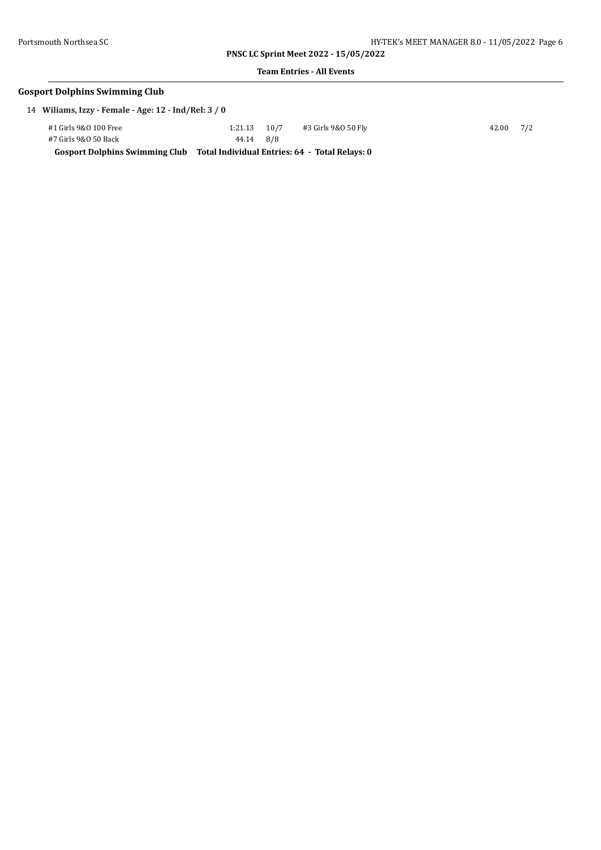**Team Entries - All Events**

# **Gosport Dolphins Swimming Club**

14 **Wiliams, Izzy - Female - Age: 12 - Ind/Rel: 3 / 0**

| #1 Girls 9&0 100 Free | $1:21.13$ $10/7$                                                              |  | #3 Girls 9&0 50 Fly | 42.00 7/2 |  |
|-----------------------|-------------------------------------------------------------------------------|--|---------------------|-----------|--|
| #7 Girls 9&0 50 Back  | 44.14 8/8                                                                     |  |                     |           |  |
|                       | Gosport Dolphins Swimming Club Total Individual Entries: 64 - Total Relays: 0 |  |                     |           |  |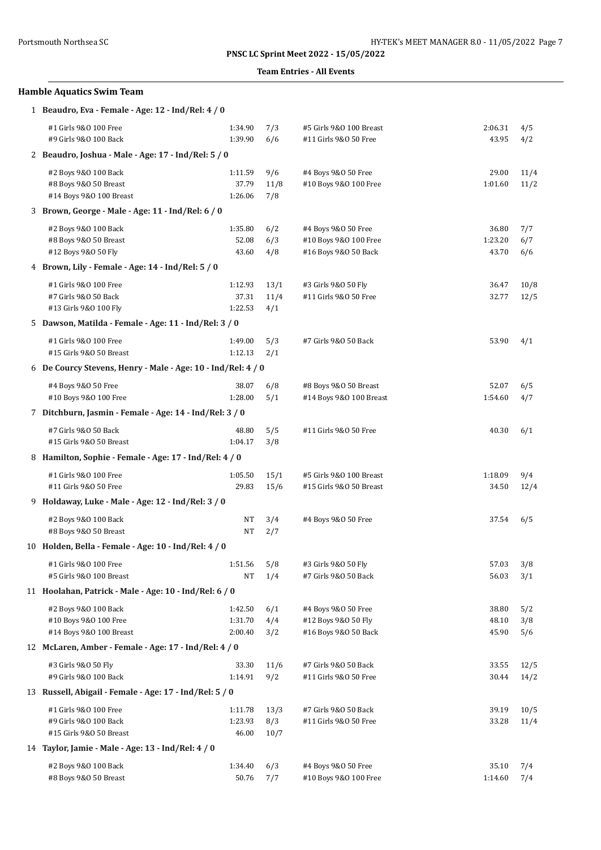### **PNSC LC Sprint Meet 2022 - 15/05/2022**

### **Events**

| Portsmouth Northsea SC                                                   |                             |                     | PNSC LC Sprint Meet 2022 - 15/05/2022                                | HY-TEK's MEET MANAGER 8.0 - 11/05/2022 |                   |  |  |  |  |
|--------------------------------------------------------------------------|-----------------------------|---------------------|----------------------------------------------------------------------|----------------------------------------|-------------------|--|--|--|--|
|                                                                          |                             |                     | <b>Team Entries - All Events</b>                                     |                                        |                   |  |  |  |  |
| <b>Hamble Aquatics Swim Team</b>                                         |                             |                     |                                                                      |                                        |                   |  |  |  |  |
| 1 Beaudro, Eva - Female - Age: 12 - Ind/Rel: 4 / 0                       |                             |                     |                                                                      |                                        |                   |  |  |  |  |
| #1 Girls 9&0 100 Free<br>#9 Girls 9&0 100 Back                           | 1:34.90<br>1:39.90          | 7/3<br>6/6          | #5 Girls 9&0 100 Breast<br>#11 Girls 9&0 50 Free                     | 2:06.31<br>43.95                       | 4/5<br>4/2        |  |  |  |  |
| 2 Beaudro, Joshua - Male - Age: 17 - Ind/Rel: 5 / 0                      |                             |                     |                                                                      |                                        |                   |  |  |  |  |
| #2 Boys 9&0 100 Back<br>#8 Boys 9&0 50 Breast<br>#14 Boys 9&0 100 Breast | 1:11.59<br>37.79<br>1:26.06 | 9/6<br>11/8<br>7/8  | #4 Boys 9&0 50 Free<br>#10 Boys 9&0 100 Free                         | 29.00<br>1:01.60                       | 11/<br>11/        |  |  |  |  |
| 3 Brown, George - Male - Age: 11 - Ind/Rel: 6 / 0                        |                             |                     |                                                                      |                                        |                   |  |  |  |  |
| #2 Boys 9&0 100 Back<br>#8 Boys 9&0 50 Breast<br>#12 Boys 9&0 50 Fly     | 1:35.80<br>52.08<br>43.60   | 6/2<br>6/3<br>4/8   | #4 Boys 9&0 50 Free<br>#10 Boys 9&0 100 Free<br>#16 Boys 9&0 50 Back | 36.80<br>1:23.20<br>43.70              | 7/7<br>6/7<br>6/6 |  |  |  |  |
| 4 Brown, Lily - Female - Age: 14 - Ind/Rel: 5 / 0                        |                             |                     |                                                                      |                                        |                   |  |  |  |  |
| #1 Girls 9&0 100 Free<br>#7 Girls 9&0 50 Back<br>#13 Girls 9&0 100 Fly   | 1:12.93<br>37.31<br>1:22.53 | 13/1<br>11/4<br>4/1 | #3 Girls 9&0 50 Fly<br>#11 Girls 9&0 50 Free                         | 36.47<br>32.77                         | 10/<br>12/        |  |  |  |  |
| 5 Dawson, Matilda - Female - Age: 11 - Ind/Rel: 3 / 0                    |                             |                     |                                                                      |                                        |                   |  |  |  |  |
| #1 Girls 9&0 100 Free<br>#15 Girls 9&0 50 Breast                         | 1:49.00<br>1:12.13          | 5/3<br>2/1          | #7 Girls 9&0 50 Back                                                 | 53.90                                  | 4/1               |  |  |  |  |
| 6 De Courcy Stevens, Henry - Male - Age: 10 - Ind/Rel: 4 / 0             |                             |                     |                                                                      |                                        |                   |  |  |  |  |
| #4 Boys 9&0 50 Free<br>#10 Boys 9&0 100 Free                             | 38.07<br>1:28.00            | 6/8<br>5/1          | #8 Boys 9&0 50 Breast<br>#14 Boys 9&0 100 Breast                     | 52.07<br>1:54.60                       | 6/5<br>4/7        |  |  |  |  |
| 7 Ditchburn, Jasmin - Female - Age: 14 - Ind/Rel: 3 / 0                  |                             |                     |                                                                      |                                        |                   |  |  |  |  |
| #7 Girls 9&0 50 Back<br>#15 Girls 9&0 50 Breast                          | 48.80<br>1:04.17            | 5/5<br>3/8          | #11 Girls 9&0 50 Free                                                | 40.30                                  | 6/1               |  |  |  |  |
| 8 Hamilton, Sophie - Female - Age: 17 - Ind/Rel: 4 / 0                   |                             |                     |                                                                      |                                        |                   |  |  |  |  |
| #1 Girls 9&0 100 Free<br>#11 Girls 9&0 50 Free                           | 1:05.50<br>29.83            | 15/1<br>15/6        | #5 Girls 9&0 100 Breast<br>#15 Girls 9&0 50 Breast                   | 1:18.09<br>34.50                       | 9/4<br>12/        |  |  |  |  |
| 9 Holdaway, Luke - Male - Age: 12 - Ind/Rel: 3 / 0                       |                             |                     |                                                                      |                                        |                   |  |  |  |  |

| #2 Boys 9&0 100 Back<br>#8 Boys 9&0 50 Breast<br>#14 Boys 9&0 100 Breast | 1:11.59<br>37.79<br>1:26.06         | 9/6<br>11/8<br>7/8  | #4 Boys 9&0 50 Free<br>#10 Boys 9&0 100 Free                         | 29.00<br>1:01.60          | 11/4<br>11/2      |
|--------------------------------------------------------------------------|-------------------------------------|---------------------|----------------------------------------------------------------------|---------------------------|-------------------|
| 3 Brown, George - Male - Age: 11 - Ind/Rel: 6 / 0                        |                                     |                     |                                                                      |                           |                   |
| #2 Boys 9&0 100 Back<br>#8 Boys 9&0 50 Breast<br>#12 Boys 9&0 50 Fly     | 1:35.80<br>52.08<br>43.60           | 6/2<br>6/3<br>4/8   | #4 Boys 9&0 50 Free<br>#10 Boys 9&0 100 Free<br>#16 Boys 9&0 50 Back | 36.80<br>1:23.20<br>43.70 | 7/7<br>6/7<br>6/6 |
| 4 Brown, Lily - Female - Age: 14 - Ind/Rel: 5 / 0                        |                                     |                     |                                                                      |                           |                   |
| #1 Girls 9&0 100 Free<br>#7 Girls 9&0 50 Back<br>#13 Girls 9&0 100 Fly   | 1:12.93<br>37.31<br>1:22.53         | 13/1<br>11/4<br>4/1 | #3 Girls 9&0 50 Fly<br>#11 Girls 9&0 50 Free                         | 36.47<br>32.77            | 10/8<br>12/5      |
| 5 Dawson, Matilda - Female - Age: 11 - Ind/Rel: 3 / 0                    |                                     |                     |                                                                      |                           |                   |
| #1 Girls 9&0 100 Free<br>#15 Girls 9&0 50 Breast                         | 1:49.00<br>1:12.13                  | 5/3<br>2/1          | #7 Girls 9&0 50 Back                                                 | 53.90                     | 4/1               |
| 6 De Courcy Stevens, Henry - Male - Age: 10 - Ind/Rel: 4 / 0             |                                     |                     |                                                                      |                           |                   |
| #4 Boys 9&0 50 Free<br>#10 Boys 9&0 100 Free                             | 38.07<br>1:28.00                    | 6/8<br>5/1          | #8 Boys 9&0 50 Breast<br>#14 Boys 9&0 100 Breast                     | 52.07<br>1:54.60          | 6/5<br>4/7        |
| 7 Ditchburn, Jasmin - Female - Age: 14 - Ind/Rel: 3 / 0                  |                                     |                     |                                                                      |                           |                   |
| #7 Girls 9&0 50 Back<br>#15 Girls 9&0 50 Breast                          | 48.80<br>1:04.17                    | 5/5<br>3/8          | #11 Girls 9&0 50 Free                                                | 40.30                     | 6/1               |
| 8 Hamilton, Sophie - Female - Age: 17 - Ind/Rel: 4 / 0                   |                                     |                     |                                                                      |                           |                   |
| #1 Girls 9&0 100 Free<br>#11 Girls 9&0 50 Free                           | 1:05.50<br>29.83                    | 15/1<br>15/6        | #5 Girls 9&0 100 Breast<br>#15 Girls 9&0 50 Breast                   | 1:18.09<br>34.50          | 9/4<br>12/4       |
| 9 Holdaway, Luke - Male - Age: 12 - Ind/Rel: 3 / 0                       |                                     |                     |                                                                      |                           |                   |
| #2 Boys 9&0 100 Back<br>#8 Boys 9&0 50 Breast                            | NT<br>NT                            | 3/4<br>2/7          | #4 Boys 9&0 50 Free                                                  | 37.54                     | 6/5               |
| 10 Holden, Bella - Female - Age: 10 - Ind/Rel: 4 / 0                     |                                     |                     |                                                                      |                           |                   |
| #1 Girls 9&0 100 Free<br>#5 Girls 9&0 100 Breast                         | 1:51.56<br>NT                       | 5/8<br>1/4          | #3 Girls 9&0 50 Fly<br>#7 Girls 9&0 50 Back                          | 57.03<br>56.03            | 3/8<br>3/1        |
| 11 Hoolahan, Patrick - Male - Age: 10 - Ind/Rel: 6 / 0                   |                                     |                     |                                                                      |                           |                   |
| #2 Boys 9&0 100 Back<br>#10 Boys 9&0 100 Free<br>#14 Boys 9&0 100 Breast | $1:42.50$ 6/1<br>1:31.70<br>2:00.40 | 4/4<br>3/2          | #4 Boys 9&0 50 Free<br>#12 Boys 9&0 50 Fly<br>#16 Boys 9&0 50 Back   | 38.80<br>48.10<br>45.90   | 5/2<br>3/8<br>5/6 |
| 12 McLaren, Amber - Female - Age: 17 - Ind/Rel: 4 / 0                    |                                     |                     |                                                                      |                           |                   |
| #3 Girls 9&0 50 Fly<br>#9 Girls 9&0 100 Back                             | 33.30<br>1:14.91                    | 11/6<br>9/2         | #7 Girls 9&0 50 Back<br>#11 Girls 9&0 50 Free                        | 33.55<br>30.44            | 12/5<br>14/2      |
| 13 Russell, Abigail - Female - Age: 17 - Ind/Rel: 5 / 0                  |                                     |                     |                                                                      |                           |                   |
| #1 Girls 9&0 100 Free                                                    | 1:11.78                             | 13/3                | #7 Girls 9&0 50 Back                                                 | 39.19                     | 10/5              |

| #15 Girls 9&0 50 Breast                            | 46.00   | 10/7 |                       |               |     |
|----------------------------------------------------|---------|------|-----------------------|---------------|-----|
| 14 Taylor, Jamie - Male - Age: 13 - Ind/Rel: 4 / 0 |         |      |                       |               |     |
| #2 Boys 9&0 100 Back                               | 1:34.40 | 6/3  | #4 Boys 9&0 50 Free   | 35.10         | 7/4 |
| #8 Boys 9&0 50 Breast                              | 50.76   | 7/7  | #10 Boys 9&0 100 Free | $1:14.60$ 7/4 |     |

#9 Girls 9&O 100 Back 1:23.93 8/3 #11 Girls 9&O 50 Free 33.28 11/4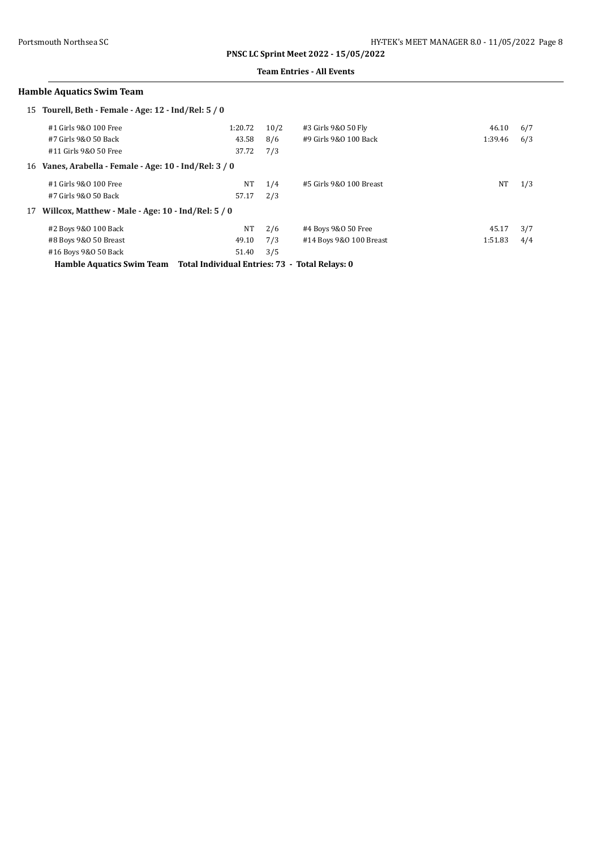### **Team Entries - All Events**

## **Hamble Aquatics Swim Team**

|                                                        | 15 Tourell, Beth - Female - Age: 12 - Ind/Rel: 5 / 0 |         |      |                         |         |     |
|--------------------------------------------------------|------------------------------------------------------|---------|------|-------------------------|---------|-----|
|                                                        | #1 Girls 9&0 100 Free                                | 1:20.72 | 10/2 | #3 Girls 9&0 50 Fly     | 46.10   | 6/7 |
|                                                        | #7 Girls 9&0 50 Back                                 | 43.58   | 8/6  | #9 Girls 9&0 100 Back   | 1:39.46 | 6/3 |
|                                                        | #11 Girls 9&0 50 Free                                | 37.72   | 7/3  |                         |         |     |
| 16 Vanes, Arabella - Female - Age: 10 - Ind/Rel: 3 / 0 |                                                      |         |      |                         |         |     |
|                                                        | #1 Girls 9&0 100 Free                                | NT      | 1/4  | #5 Girls 9&0 100 Breast | NT      | 1/3 |
|                                                        | #7 Girls 9&0 50 Back                                 | 57.17   | 2/3  |                         |         |     |
| 17                                                     | Willcox, Matthew - Male - Age: 10 - Ind/Rel: 5 / 0   |         |      |                         |         |     |
|                                                        | #2 Boys 9&0 100 Back                                 | NT      | 2/6  | #4 Boys 9&0 50 Free     | 45.17   | 3/7 |
|                                                        | #8 Boys 9&0 50 Breast                                | 49.10   | 7/3  | #14 Boys 9&0 100 Breast | 1:51.83 | 4/4 |
|                                                        | #16 Boys 9&0 50 Back                                 | 51.40   | 3/5  |                         |         |     |

**Hamble Aquatics Swim Team Total Individual Entries: 73 - Total Relays: 0**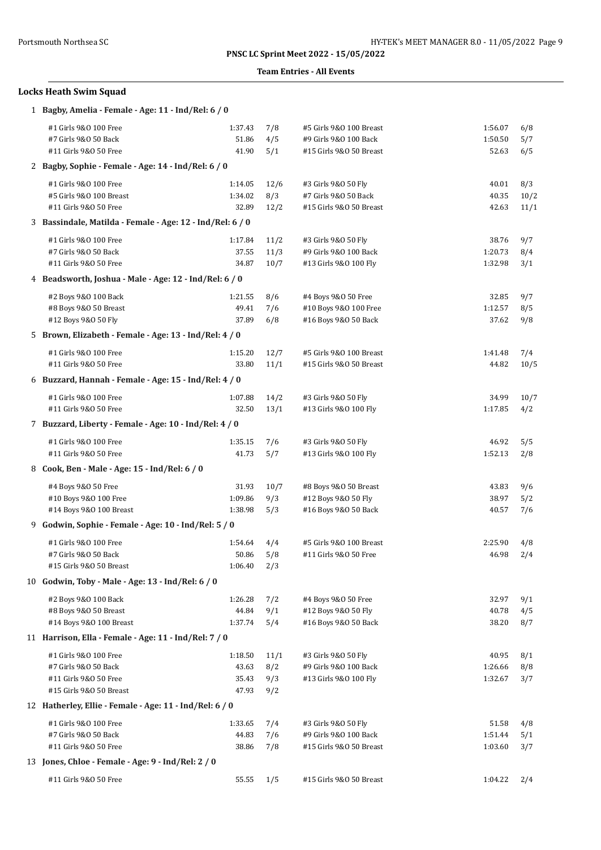### **Team Entries - All Events**

# **Locks Heath Swim Squad**

| 1 Bagby, Amelia - Female - Age: 11 - Ind/Rel: 6 / 0                                               |                                    |                           |                                                                             |                             |                     |
|---------------------------------------------------------------------------------------------------|------------------------------------|---------------------------|-----------------------------------------------------------------------------|-----------------------------|---------------------|
| #1 Girls 9&0 100 Free<br>#7 Girls 9&0 50 Back<br>#11 Girls 9&0 50 Free                            | 1:37.43<br>51.86<br>41.90          | 7/8<br>4/5<br>5/1         | #5 Girls 9&0 100 Breast<br>#9 Girls 9&0 100 Back<br>#15 Girls 9&0 50 Breast | 1:56.07<br>1:50.50<br>52.63 | 6/8<br>5/7<br>6/5   |
| 2 Bagby, Sophie - Female - Age: 14 - Ind/Rel: 6 / 0                                               |                                    |                           |                                                                             |                             |                     |
| #1 Girls 9&0 100 Free<br>#5 Girls 9&0 100 Breast<br>#11 Girls 9&0 50 Free                         | 1:14.05<br>1:34.02<br>32.89        | 12/6<br>8/3<br>12/2       | #3 Girls 9&0 50 Fly<br>#7 Girls 9&0 50 Back<br>#15 Girls 9&0 50 Breast      | 40.01<br>40.35<br>42.63     | 8/3<br>10/2<br>11/1 |
| 3 Bassindale, Matilda - Female - Age: 12 - Ind/Rel: 6 / 0                                         |                                    |                           |                                                                             |                             |                     |
| #1 Girls 9&0 100 Free<br>#7 Girls 9&0 50 Back<br>#11 Girls 9&0 50 Free                            | 1:17.84<br>37.55<br>34.87          | 11/2<br>11/3<br>10/7      | #3 Girls 9&0 50 Fly<br>#9 Girls 9&0 100 Back<br>#13 Girls 9&0 100 Fly       | 38.76<br>1:20.73<br>1:32.98 | 9/7<br>8/4<br>3/1   |
| 4 Beadsworth, Joshua - Male - Age: 12 - Ind/Rel: 6 / 0                                            |                                    |                           |                                                                             |                             |                     |
| #2 Boys 9&0 100 Back<br>#8 Boys 9&0 50 Breast<br>#12 Boys 9&0 50 Fly                              | 1:21.55<br>49.41<br>37.89          | 8/6<br>7/6<br>6/8         | #4 Boys 9&0 50 Free<br>#10 Boys 9&0 100 Free<br>#16 Boys 9&0 50 Back        | 32.85<br>1:12.57<br>37.62   | 9/7<br>8/5<br>9/8   |
| 5 Brown, Elizabeth - Female - Age: 13 - Ind/Rel: 4 / 0                                            |                                    |                           |                                                                             |                             |                     |
| #1 Girls 9&0 100 Free<br>#11 Girls 9&0 50 Free                                                    | 1:15.20<br>33.80                   | 12/7<br>11/1              | #5 Girls 9&0 100 Breast<br>#15 Girls 9&0 50 Breast                          | 1:41.48<br>44.82            | 7/4<br>10/5         |
| 6 Buzzard, Hannah - Female - Age: 15 - Ind/Rel: 4 / 0                                             |                                    |                           |                                                                             |                             |                     |
| #1 Girls 9&0 100 Free<br>#11 Girls 9&0 50 Free                                                    | 1:07.88<br>32.50                   | 14/2<br>13/1              | #3 Girls 9&0 50 Fly<br>#13 Girls 9&0 100 Fly                                | 34.99<br>1:17.85            | 10/7<br>4/2         |
| 7 Buzzard, Liberty - Female - Age: 10 - Ind/Rel: 4 / 0                                            |                                    |                           |                                                                             |                             |                     |
| #1 Girls 9&0 100 Free<br>#11 Girls 9&0 50 Free                                                    | 1:35.15<br>41.73                   | 7/6<br>5/7                | #3 Girls 9&0 50 Fly<br>#13 Girls 9&0 100 Fly                                | 46.92<br>1:52.13            | 5/5<br>2/8          |
| 8 Cook, Ben - Male - Age: 15 - Ind/Rel: 6 / 0                                                     |                                    |                           |                                                                             |                             |                     |
| #4 Boys 9&0 50 Free<br>#10 Boys 9&0 100 Free<br>#14 Boys 9&0 100 Breast                           | 31.93<br>1:09.86<br>1:38.98        | 10/7<br>9/3<br>5/3        | #8 Boys 9&0 50 Breast<br>#12 Boys 9&0 50 Fly<br>#16 Boys 9&0 50 Back        | 43.83<br>38.97<br>40.57     | 9/6<br>5/2<br>7/6   |
| 9 Godwin, Sophie - Female - Age: 10 - Ind/Rel: 5 / 0                                              |                                    |                           |                                                                             |                             |                     |
| #1 Girls 9&0 100 Free<br>#7 Girls 9&0 50 Back<br>#15 Girls 9&0 50 Breast                          | 1:54.64<br>50.86<br>1:06.40        | 4/4<br>5/8<br>2/3         | #5 Girls 9&0 100 Breast<br>#11 Girls 9&0 50 Free                            | 2:25.90<br>46.98            | 4/8<br>2/4          |
| 10 Godwin, Toby - Male - Age: 13 - Ind/Rel: 6 / 0                                                 |                                    |                           |                                                                             |                             |                     |
| #2 Boys 9&0 100 Back<br>#8 Boys 9&0 50 Breast<br>#14 Boys 9&0 100 Breast                          | 1:26.28<br>44.84<br>1:37.74        | 7/2<br>9/1<br>5/4         | #4 Boys 9&0 50 Free<br>#12 Boys 9&0 50 Fly<br>#16 Boys 9&0 50 Back          | 32.97<br>40.78<br>38.20     | 9/1<br>4/5<br>8/7   |
| 11 Harrison, Ella - Female - Age: 11 - Ind/Rel: 7 / 0                                             |                                    |                           |                                                                             |                             |                     |
| #1 Girls 9&0 100 Free<br>#7 Girls 9&0 50 Back<br>#11 Girls 9&0 50 Free<br>#15 Girls 9&0 50 Breast | 1:18.50<br>43.63<br>35.43<br>47.93 | 11/1<br>8/2<br>9/3<br>9/2 | #3 Girls 9&0 50 Fly<br>#9 Girls 9&0 100 Back<br>#13 Girls 9&0 100 Fly       | 40.95<br>1:26.66<br>1:32.67 | 8/1<br>8/8<br>3/7   |
| 12 Hatherley, Ellie - Female - Age: 11 - Ind/Rel: 6 / 0                                           |                                    |                           |                                                                             |                             |                     |
| #1 Girls 9&0 100 Free<br>#7 Girls 9&0 50 Back<br>#11 Girls 9&0 50 Free                            | 1:33.65<br>44.83<br>38.86          | 7/4<br>7/6<br>7/8         | #3 Girls 9&0 50 Fly<br>#9 Girls 9&0 100 Back<br>#15 Girls 9&0 50 Breast     | 51.58<br>1:51.44<br>1:03.60 | 4/8<br>5/1<br>3/7   |
| 13 Jones, Chloe - Female - Age: 9 - Ind/Rel: 2 / 0                                                |                                    |                           |                                                                             |                             |                     |
| #11 Girls 9&0 50 Free                                                                             | 55.55                              | 1/5                       | #15 Girls 9&0 50 Breast                                                     | 1:04.22                     | 2/4                 |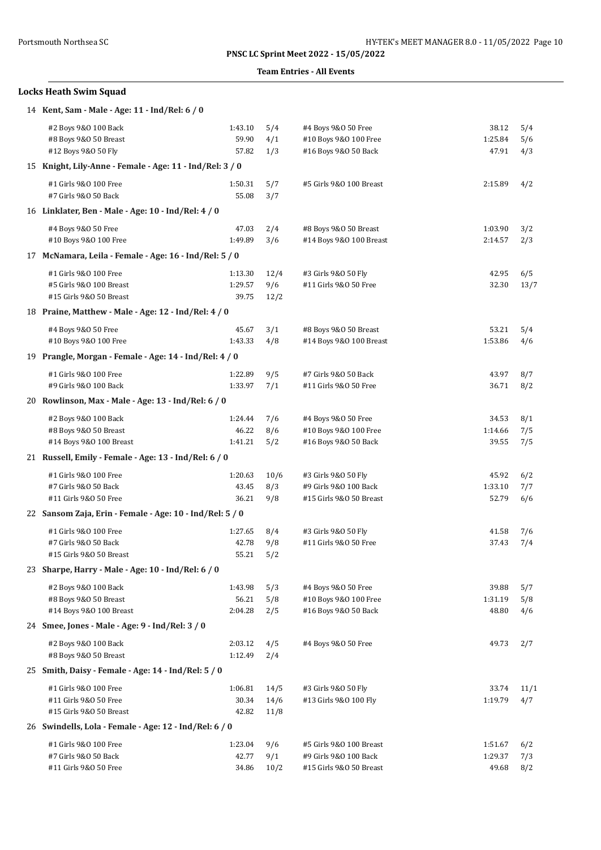### **Team Entries - All Events**

# **Locks Heath Swim Squad**

| 14 Kent, Sam - Male - Age: 11 - Ind/Rel: 6 / 0                              |                             |                      |                                                                             |                             |                   |
|-----------------------------------------------------------------------------|-----------------------------|----------------------|-----------------------------------------------------------------------------|-----------------------------|-------------------|
| #2 Boys 9&0 100 Back<br>#8 Boys 9&0 50 Breast<br>#12 Boys 9&0 50 Fly        | 1:43.10<br>59.90<br>57.82   | 5/4<br>4/1<br>1/3    | #4 Boys 9&0 50 Free<br>#10 Boys 9&0 100 Free<br>#16 Boys 9&0 50 Back        | 38.12<br>1:25.84<br>47.91   | 5/4<br>5/6<br>4/3 |
| 15 Knight, Lily-Anne - Female - Age: 11 - Ind/Rel: 3 / 0                    |                             |                      |                                                                             |                             |                   |
| #1 Girls 9&0 100 Free<br>#7 Girls 9&0 50 Back                               | 1:50.31<br>55.08            | 5/7<br>3/7           | #5 Girls 9&0 100 Breast                                                     | 2:15.89                     | 4/2               |
| 16 Linklater, Ben - Male - Age: 10 - Ind/Rel: 4 / 0                         |                             |                      |                                                                             |                             |                   |
| #4 Boys 9&0 50 Free<br>#10 Boys 9&0 100 Free                                | 47.03<br>1:49.89            | 2/4<br>3/6           | #8 Boys 9&0 50 Breast<br>#14 Boys 9&0 100 Breast                            | 1:03.90<br>2:14.57          | 3/2<br>2/3        |
| 17 McNamara, Leila - Female - Age: 16 - Ind/Rel: 5 / 0                      |                             |                      |                                                                             |                             |                   |
| #1 Girls 9&0 100 Free<br>#5 Girls 9&0 100 Breast<br>#15 Girls 9&0 50 Breast | 1:13.30<br>1:29.57<br>39.75 | 12/4<br>9/6<br>12/2  | #3 Girls 9&0 50 Fly<br>#11 Girls 9&0 50 Free                                | 42.95<br>32.30              | 6/5<br>13/7       |
| 18 Praine, Matthew - Male - Age: 12 - Ind/Rel: 4 / 0                        |                             |                      |                                                                             |                             |                   |
| #4 Boys 9&0 50 Free<br>#10 Boys 9&0 100 Free                                | 45.67<br>1:43.33            | 3/1<br>4/8           | #8 Boys 9&0 50 Breast<br>#14 Boys 9&0 100 Breast                            | 53.21<br>1:53.86            | 5/4<br>4/6        |
| 19 Prangle, Morgan - Female - Age: 14 - Ind/Rel: 4 / 0                      |                             |                      |                                                                             |                             |                   |
| #1 Girls 9&0 100 Free<br>#9 Girls 9&0 100 Back                              | 1:22.89<br>1:33.97          | 9/5<br>7/1           | #7 Girls 9&0 50 Back<br>#11 Girls 9&0 50 Free                               | 43.97<br>36.71              | 8/7<br>8/2        |
| 20 Rowlinson, Max - Male - Age: 13 - Ind/Rel: 6 / 0                         |                             |                      |                                                                             |                             |                   |
| #2 Boys 9&0 100 Back<br>#8 Boys 9&0 50 Breast<br>#14 Boys 9&0 100 Breast    | 1:24.44<br>46.22<br>1:41.21 | 7/6<br>8/6<br>5/2    | #4 Boys 9&0 50 Free<br>#10 Boys 9&0 100 Free<br>#16 Boys 9&0 50 Back        | 34.53<br>1:14.66<br>39.55   | 8/1<br>7/5<br>7/5 |
| 21 Russell, Emily - Female - Age: 13 - Ind/Rel: 6 / 0                       |                             |                      |                                                                             |                             |                   |
| #1 Girls 9&0 100 Free<br>#7 Girls 9&0 50 Back<br>#11 Girls 9&0 50 Free      | 1:20.63<br>43.45<br>36.21   | 10/6<br>8/3<br>9/8   | #3 Girls 9&0 50 Fly<br>#9 Girls 9&0 100 Back<br>#15 Girls 9&0 50 Breast     | 45.92<br>1:33.10<br>52.79   | 6/2<br>7/7<br>6/6 |
| 22 Sansom Zaja, Erin - Female - Age: 10 - Ind/Rel: 5 / 0                    |                             |                      |                                                                             |                             |                   |
| #1 Girls 9&0 100 Free<br>#7 Girls 9&0 50 Back<br>#15 Girls 9&0 50 Breast    | 1:27.65<br>42.78<br>55.21   | 8/4<br>9/8<br>5/2    | #3 Girls 9&0 50 Fly<br>#11 Girls 9&0 50 Free                                | 41.58<br>37.43              | 7/6<br>7/4        |
| 23 Sharpe, Harry - Male - Age: 10 - Ind/Rel: 6 / 0                          |                             |                      |                                                                             |                             |                   |
| #2 Boys 9&0 100 Back<br>#8 Boys 9&0 50 Breast<br>#14 Boys 9&0 100 Breast    | 1:43.98<br>56.21<br>2:04.28 | 5/3<br>5/8<br>2/5    | #4 Boys 9&0 50 Free<br>#10 Boys 9&0 100 Free<br>#16 Boys 9&0 50 Back        | 39.88<br>1:31.19<br>48.80   | 5/7<br>5/8<br>4/6 |
| 24 Smee, Jones - Male - Age: 9 - Ind/Rel: 3 / 0                             |                             |                      |                                                                             |                             |                   |
| #2 Boys 9&0 100 Back<br>#8 Boys 9&0 50 Breast                               | 2:03.12<br>1:12.49          | 4/5<br>2/4           | #4 Boys 9&0 50 Free                                                         | 49.73                       | 2/7               |
| 25 Smith, Daisy - Female - Age: 14 - Ind/Rel: 5 / 0                         |                             |                      |                                                                             |                             |                   |
| #1 Girls 9&0 100 Free<br>#11 Girls 9&0 50 Free<br>#15 Girls 9&0 50 Breast   | 1:06.81<br>30.34<br>42.82   | 14/5<br>14/6<br>11/8 | #3 Girls 9&0 50 Fly<br>#13 Girls 9&0 100 Fly                                | 33.74<br>1:19.79            | 11/1<br>4/7       |
| 26 Swindells, Lola - Female - Age: 12 - Ind/Rel: 6 / 0                      |                             |                      |                                                                             |                             |                   |
| #1 Girls 9&0 100 Free<br>#7 Girls 9&0 50 Back<br>#11 Girls 9&0 50 Free      | 1:23.04<br>42.77<br>34.86   | 9/6<br>9/1<br>10/2   | #5 Girls 9&0 100 Breast<br>#9 Girls 9&0 100 Back<br>#15 Girls 9&0 50 Breast | 1:51.67<br>1:29.37<br>49.68 | 6/2<br>7/3<br>8/2 |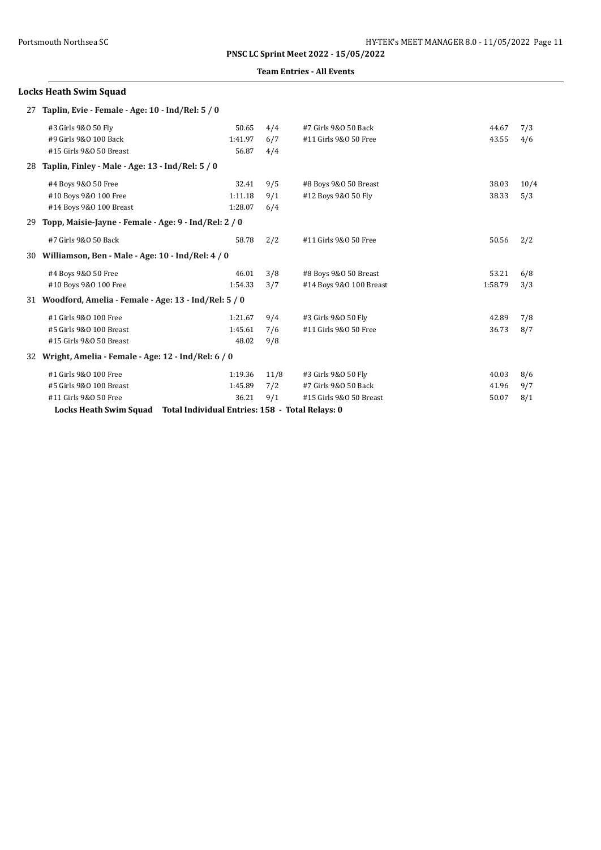### **Team Entries - All Events**

# **Locks Heath Swim Squad** 27 **Taplin, Evie - Female - Age: 10 - Ind/Rel: 5 / 0**

|     | #3 Girls 9&0 50 Fly                                   | 50.65                                           | 4/4  | #7 Girls 9&0 50 Back    | 44.67   | 7/3  |
|-----|-------------------------------------------------------|-------------------------------------------------|------|-------------------------|---------|------|
|     | #9 Girls 9&0 100 Back                                 | 1:41.97                                         | 6/7  | #11 Girls 9&0 50 Free   | 43.55   | 4/6  |
|     | #15 Girls 9&0 50 Breast                               | 56.87                                           | 4/4  |                         |         |      |
| 28  | Taplin, Finley - Male - Age: 13 - Ind/Rel: 5 / 0      |                                                 |      |                         |         |      |
|     | #4 Boys 9&0 50 Free                                   | 32.41                                           | 9/5  | #8 Boys 9&0 50 Breast   | 38.03   | 10/4 |
|     | #10 Boys 9&0 100 Free                                 | 1:11.18                                         | 9/1  | #12 Boys 9&0 50 Fly     | 38.33   | 5/3  |
|     | #14 Boys 9&0 100 Breast                               | 1:28.07                                         | 6/4  |                         |         |      |
| 29  | Topp, Maisie-Jayne - Female - Age: 9 - Ind/Rel: 2 / 0 |                                                 |      |                         |         |      |
|     | #7 Girls 9&0 50 Back                                  | 58.78                                           | 2/2  | #11 Girls 9&0 50 Free   | 50.56   | 2/2  |
| 30- | Williamson, Ben - Male - Age: 10 - Ind/Rel: 4 / 0     |                                                 |      |                         |         |      |
|     | #4 Boys 9&0 50 Free                                   | 46.01                                           | 3/8  | #8 Boys 9&0 50 Breast   | 53.21   | 6/8  |
|     | #10 Boys 9&0 100 Free                                 | 1:54.33                                         | 3/7  | #14 Boys 9&0 100 Breast | 1:58.79 | 3/3  |
| 31  | Woodford, Amelia - Female - Age: 13 - Ind/Rel: 5 / 0  |                                                 |      |                         |         |      |
|     | #1 Girls 9&0 100 Free                                 | 1:21.67                                         | 9/4  | #3 Girls 9&0 50 Fly     | 42.89   | 7/8  |
|     | #5 Girls 9&0 100 Breast                               | 1:45.61                                         | 7/6  | #11 Girls 9&0 50 Free   | 36.73   | 8/7  |
|     | #15 Girls 9&0 50 Breast                               | 48.02                                           | 9/8  |                         |         |      |
| 32  | Wright, Amelia - Female - Age: 12 - Ind/Rel: 6 / 0    |                                                 |      |                         |         |      |
|     | #1 Girls 9&0 100 Free                                 | 1:19.36                                         | 11/8 | #3 Girls 9&0 50 Fly     | 40.03   | 8/6  |
|     | #5 Girls 9&0 100 Breast                               | 1:45.89                                         | 7/2  | #7 Girls 9&0 50 Back    | 41.96   | 9/7  |
|     | #11 Girls 9&0 50 Free                                 | 36.21                                           | 9/1  | #15 Girls 9&0 50 Breast | 50.07   | 8/1  |
|     | <b>Locks Heath Swim Squad</b>                         | Total Individual Entries: 158 - Total Relays: 0 |      |                         |         |      |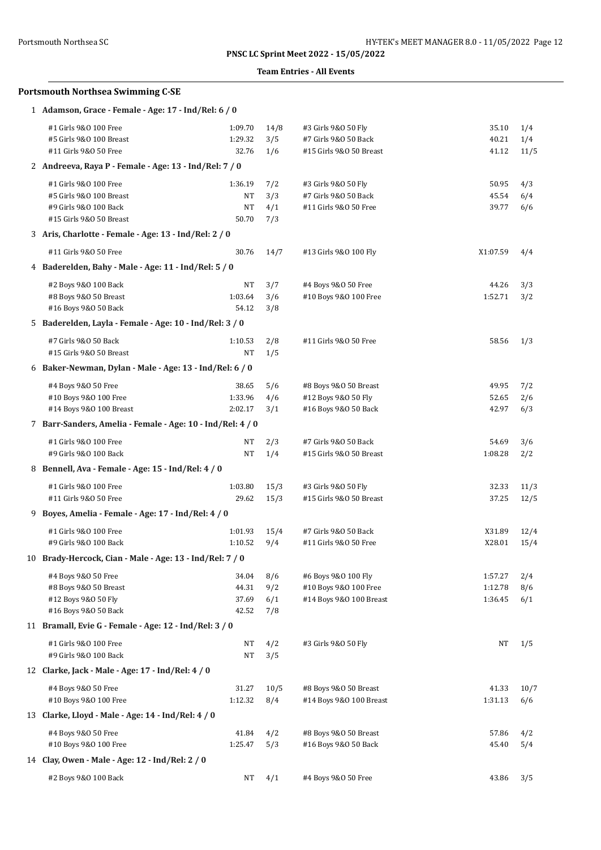### **Team Entries - All Events**

| 1 Adamson, Grace - Female - Age: 17 - Ind/Rel: 6 / 0       |           |      |                         |          |      |
|------------------------------------------------------------|-----------|------|-------------------------|----------|------|
| #1 Girls 9&0 100 Free                                      | 1:09.70   | 14/8 | #3 Girls 9&0 50 Fly     | 35.10    | 1/4  |
| #5 Girls 9&0 100 Breast                                    | 1:29.32   | 3/5  | #7 Girls 9&0 50 Back    | 40.21    | 1/4  |
| #11 Girls 9&0 50 Free                                      | 32.76     | 1/6  | #15 Girls 9&0 50 Breast | 41.12    | 11/5 |
| 2 Andreeva, Raya P - Female - Age: 13 - Ind/Rel: 7 / 0     |           |      |                         |          |      |
| #1 Girls 9&0 100 Free                                      | 1:36.19   | 7/2  | #3 Girls 9&0 50 Fly     | 50.95    | 4/3  |
| #5 Girls 9&0 100 Breast                                    | NT        | 3/3  | #7 Girls 9&0 50 Back    | 45.54    | 6/4  |
| #9 Girls 9&0 100 Back                                      | NT        | 4/1  | #11 Girls 9&0 50 Free   | 39.77    | 6/6  |
| #15 Girls 9&0 50 Breast                                    | 50.70     | 7/3  |                         |          |      |
| 3 Aris, Charlotte - Female - Age: 13 - Ind/Rel: 2 / 0      |           |      |                         |          |      |
| #11 Girls 9&0 50 Free                                      | 30.76     | 14/7 | #13 Girls 9&0 100 Fly   | X1:07.59 | 4/4  |
| 4 Baderelden, Bahy - Male - Age: 11 - Ind/Rel: 5 / 0       |           |      |                         |          |      |
| #2 Boys 9&0 100 Back                                       | NT        | 3/7  | #4 Boys 9&0 50 Free     | 44.26    | 3/3  |
| #8 Boys 9&0 50 Breast                                      | 1:03.64   | 3/6  | #10 Boys 9&0 100 Free   | 1:52.71  | 3/2  |
| #16 Boys 9&0 50 Back                                       | 54.12     | 3/8  |                         |          |      |
| 5 Baderelden, Layla - Female - Age: 10 - Ind/Rel: 3 / 0    |           |      |                         |          |      |
| #7 Girls 9&0 50 Back                                       | 1:10.53   | 2/8  | #11 Girls 9&0 50 Free   | 58.56    | 1/3  |
| #15 Girls 9&0 50 Breast                                    | NT        | 1/5  |                         |          |      |
| 6 Baker-Newman, Dylan - Male - Age: 13 - Ind/Rel: 6 / 0    |           |      |                         |          |      |
| #4 Boys 9&0 50 Free                                        | 38.65     | 5/6  | #8 Boys 9&0 50 Breast   | 49.95    | 7/2  |
| #10 Boys 9&0 100 Free                                      | 1:33.96   | 4/6  | #12 Boys 9&0 50 Fly     | 52.65    | 2/6  |
| #14 Boys 9&0 100 Breast                                    | 2:02.17   | 3/1  | #16 Boys 9&0 50 Back    | 42.97    | 6/3  |
| 7 Barr-Sanders, Amelia - Female - Age: 10 - Ind/Rel: 4 / 0 |           |      |                         |          |      |
| #1 Girls 9&0 100 Free                                      | NT        | 2/3  | #7 Girls 9&0 50 Back    | 54.69    | 3/6  |
| #9 Girls 9&0 100 Back                                      | NT        | 1/4  | #15 Girls 9&0 50 Breast | 1:08.28  | 2/2  |
| 8 Bennell, Ava - Female - Age: 15 - Ind/Rel: 4 / 0         |           |      |                         |          |      |
| #1 Girls 9&0 100 Free                                      | 1:03.80   | 15/3 | #3 Girls 9&0 50 Fly     | 32.33    | 11/3 |
| #11 Girls 9&0 50 Free                                      | 29.62     | 15/3 | #15 Girls 9&0 50 Breast | 37.25    | 12/5 |
| 9 Boyes, Amelia - Female - Age: 17 - Ind/Rel: 4 / 0        |           |      |                         |          |      |
| #1 Girls 9&0 100 Free                                      | 1:01.93   | 15/4 | #7 Girls 9&0 50 Back    | X31.89   | 12/4 |
| #9 Girls 9&0 100 Back                                      | 1:10.52   | 9/4  | #11 Girls 9&0 50 Free   | X28.01   | 15/4 |
| 10 Brady-Hercock, Cian - Male - Age: 13 - Ind/Rel: 7 / 0   |           |      |                         |          |      |
| #4 Boys 9&0 50 Free                                        | 34.04     | 8/6  | #6 Boys 9&0 100 Fly     | 1:57.27  | 2/4  |
| #8 Boys 9&0 50 Breast                                      | 44.31     | 9/2  | #10 Boys 9&0 100 Free   | 1:12.78  | 8/6  |
| #12 Boys 9&0 50 Fly                                        | 37.69     | 6/1  | #14 Boys 9&0 100 Breast | 1:36.45  | 6/1  |
| #16 Boys 9&0 50 Back                                       | 42.52     | 7/8  |                         |          |      |
| 11 Bramall, Evie G - Female - Age: 12 - Ind/Rel: 3 / 0     |           |      |                         |          |      |
| #1 Girls 9&0 100 Free                                      | NT        | 4/2  | #3 Girls 9&0 50 Fly     | NT       | 1/5  |
| #9 Girls 9&0 100 Back                                      | $\rm{NT}$ | 3/5  |                         |          |      |
| 12 Clarke, Jack - Male - Age: 17 - Ind/Rel: 4 / 0          |           |      |                         |          |      |
| #4 Boys 9&0 50 Free                                        | 31.27     | 10/5 | #8 Boys 9&0 50 Breast   | 41.33    | 10/7 |
| #10 Boys 9&0 100 Free                                      | 1:12.32   | 8/4  | #14 Boys 9&0 100 Breast | 1:31.13  | 6/6  |
| 13 Clarke, Lloyd - Male - Age: 14 - Ind/Rel: 4 / 0         |           |      |                         |          |      |
| #4 Boys 9&0 50 Free                                        | 41.84     | 4/2  | #8 Boys 9&0 50 Breast   | 57.86    | 4/2  |
| #10 Boys 9&0 100 Free                                      | 1:25.47   | 5/3  | #16 Boys 9&0 50 Back    | 45.40    | 5/4  |
| 14 Clay, Owen - Male - Age: 12 - Ind/Rel: 2 / 0            |           |      |                         |          |      |
|                                                            |           |      |                         |          |      |
| #2 Boys 9&0 100 Back                                       | NT        | 4/1  | #4 Boys 9&0 50 Free     | 43.86    | 3/5  |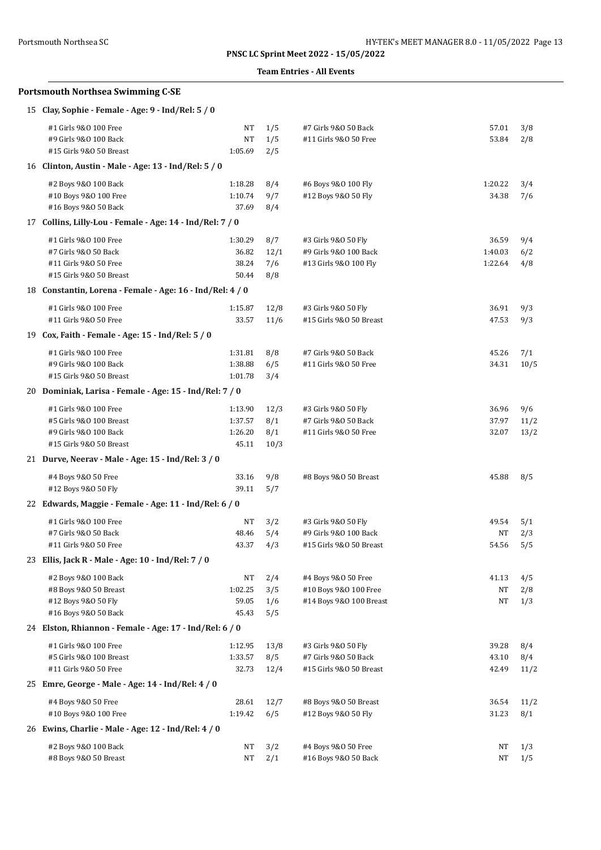### **Team Entries - All Events**

| 15 Clay, Sophie - Female - Age: 9 - Ind/Rel: 5 / 0                                                   |                                        |                            |                                                                         |                             |                     |
|------------------------------------------------------------------------------------------------------|----------------------------------------|----------------------------|-------------------------------------------------------------------------|-----------------------------|---------------------|
| #1 Girls 9&0 100 Free<br>#9 Girls 9&0 100 Back<br>#15 Girls 9&0 50 Breast                            | NT<br>$\rm{NT}$<br>1:05.69             | 1/5<br>1/5<br>2/5          | #7 Girls 9&0 50 Back<br>#11 Girls 9&0 50 Free                           | 57.01<br>53.84              | 3/8<br>2/8          |
| 16 Clinton, Austin - Male - Age: 13 - Ind/Rel: 5 / 0                                                 |                                        |                            |                                                                         |                             |                     |
| #2 Boys 9&0 100 Back<br>#10 Boys 9&0 100 Free<br>#16 Boys 9&0 50 Back                                | 1:18.28<br>1:10.74<br>37.69            | 8/4<br>9/7<br>8/4          | #6 Boys 9&0 100 Fly<br>#12 Boys 9&0 50 Fly                              | 1:20.22<br>34.38            | 3/4<br>7/6          |
| 17 Collins, Lilly-Lou - Female - Age: 14 - Ind/Rel: 7 / 0                                            |                                        |                            |                                                                         |                             |                     |
| #1 Girls 9&0 100 Free<br>#7 Girls 9&0 50 Back<br>#11 Girls 9&0 50 Free<br>#15 Girls 9&0 50 Breast    | 1:30.29<br>36.82<br>38.24<br>50.44     | 8/7<br>12/1<br>7/6<br>8/8  | #3 Girls 9&0 50 Fly<br>#9 Girls 9&0 100 Back<br>#13 Girls 9&0 100 Fly   | 36.59<br>1:40.03<br>1:22.64 | 9/4<br>6/2<br>4/8   |
| 18 Constantin, Lorena - Female - Age: 16 - Ind/Rel: 4 / 0                                            |                                        |                            |                                                                         |                             |                     |
| #1 Girls 9&0 100 Free<br>#11 Girls 9&0 50 Free                                                       | 1:15.87<br>33.57                       | 12/8<br>11/6               | #3 Girls 9&0 50 Fly<br>#15 Girls 9&0 50 Breast                          | 36.91<br>47.53              | 9/3<br>9/3          |
| 19 Cox, Faith - Female - Age: 15 - Ind/Rel: 5 / 0                                                    |                                        |                            |                                                                         |                             |                     |
| #1 Girls 9&0 100 Free<br>#9 Girls 9&0 100 Back<br>#15 Girls 9&0 50 Breast                            | 1:31.81<br>1:38.88<br>1:01.78          | 8/8<br>6/5<br>3/4          | #7 Girls 9&0 50 Back<br>#11 Girls 9&0 50 Free                           | 45.26<br>34.31              | 7/1<br>10/5         |
| 20 Dominiak, Larisa - Female - Age: 15 - Ind/Rel: 7 / 0                                              |                                        |                            |                                                                         |                             |                     |
| #1 Girls 9&0 100 Free<br>#5 Girls 9&0 100 Breast<br>#9 Girls 9&0 100 Back<br>#15 Girls 9&0 50 Breast | 1:13.90<br>1:37.57<br>1:26.20<br>45.11 | 12/3<br>8/1<br>8/1<br>10/3 | #3 Girls 9&0 50 Fly<br>#7 Girls 9&0 50 Back<br>#11 Girls 9&0 50 Free    | 36.96<br>37.97<br>32.07     | 9/6<br>11/2<br>13/2 |
| 21 Durve, Neerav - Male - Age: 15 - Ind/Rel: 3 / 0                                                   |                                        |                            |                                                                         |                             |                     |
| #4 Boys 9&0 50 Free<br>#12 Boys 9&0 50 Fly                                                           | 33.16<br>39.11                         | 9/8<br>5/7                 | #8 Boys 9&0 50 Breast                                                   | 45.88                       | 8/5                 |
| 22 Edwards, Maggie - Female - Age: 11 - Ind/Rel: 6 / 0                                               |                                        |                            |                                                                         |                             |                     |
| #1 Girls 9&0 100 Free<br>#7 Girls 9&0 50 Back<br>#11 Girls 9&0 50 Free                               | NT<br>48.46<br>43.37                   | 3/2<br>5/4<br>4/3          | #3 Girls 9&0 50 Fly<br>#9 Girls 9&0 100 Back<br>#15 Girls 9&0 50 Breast | 49.54<br>NT<br>54.56        | 5/1<br>2/3<br>5/5   |
| 23 Ellis, Jack R - Male - Age: 10 - Ind/Rel: 7 / 0                                                   |                                        |                            |                                                                         |                             |                     |
| #2 Boys 9&0 100 Back<br>#8 Boys 9&0 50 Breast<br>#12 Boys 9&0 50 Fly<br>#16 Boys 9&0 50 Back         | NT<br>1:02.25<br>59.05<br>45.43        | 2/4<br>3/5<br>1/6<br>5/5   | #4 Boys 9&0 50 Free<br>#10 Boys 9&0 100 Free<br>#14 Boys 9&0 100 Breast | 41.13<br>$\rm{NT}$<br>NT    | 4/5<br>2/8<br>1/3   |
| 24 Elston, Rhiannon - Female - Age: 17 - Ind/Rel: 6 / 0                                              |                                        |                            |                                                                         |                             |                     |
| #1 Girls 9&0 100 Free<br>#5 Girls 9&0 100 Breast<br>#11 Girls 9&0 50 Free                            | 1:12.95<br>1:33.57<br>32.73            | 13/8<br>8/5<br>12/4        | #3 Girls 9&0 50 Fly<br>#7 Girls 9&0 50 Back<br>#15 Girls 9&0 50 Breast  | 39.28<br>43.10<br>42.49     | 8/4<br>8/4<br>11/2  |
| 25 Emre, George - Male - Age: 14 - Ind/Rel: 4 / 0                                                    |                                        |                            |                                                                         |                             |                     |
| #4 Boys 9&0 50 Free<br>#10 Boys 9&0 100 Free                                                         | 28.61<br>1:19.42                       | 12/7<br>6/5                | #8 Boys 9&0 50 Breast<br>#12 Boys 9&0 50 Fly                            | 36.54<br>31.23              | 11/2<br>8/1         |
| 26 Ewins, Charlie - Male - Age: 12 - Ind/Rel: 4 / 0                                                  |                                        |                            |                                                                         |                             |                     |
| #2 Boys 9&0 100 Back<br>#8 Boys 9&0 50 Breast                                                        | NT<br>NT                               | 3/2<br>2/1                 | #4 Boys 9&0 50 Free<br>#16 Boys 9&0 50 Back                             | NT<br>NT                    | 1/3<br>1/5          |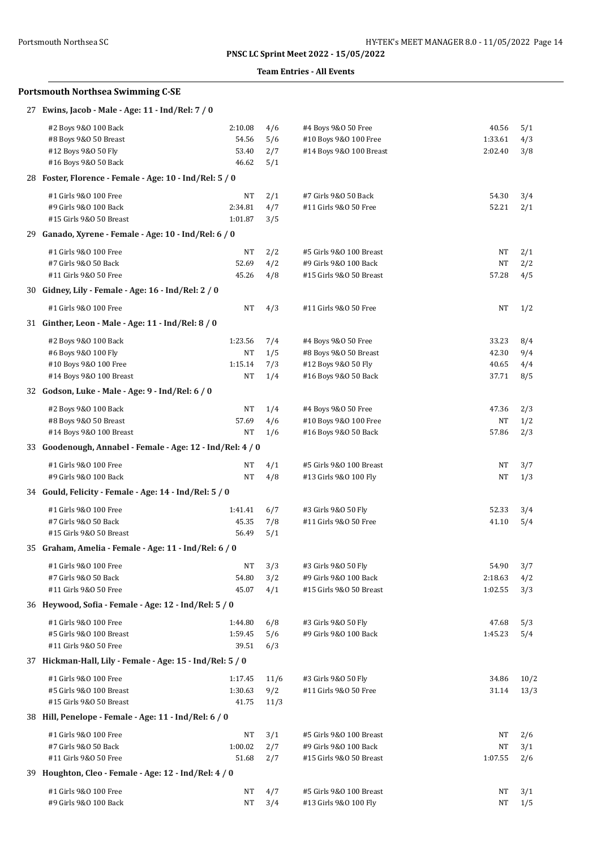### **Team Entries - All Events**

| 27 Ewins, Jacob - Male - Age: 11 - Ind/Rel: 7 / 0                              |                |            |                         |           |      |
|--------------------------------------------------------------------------------|----------------|------------|-------------------------|-----------|------|
| #2 Boys 9&0 100 Back                                                           | 2:10.08        | 4/6        | #4 Boys 9&0 50 Free     | 40.56     | 5/1  |
| #8 Boys 9&0 50 Breast                                                          | 54.56          | 5/6        | #10 Boys 9&0 100 Free   | 1:33.61   | 4/3  |
| #12 Boys 9&0 50 Fly                                                            | 53.40          | 2/7        | #14 Boys 9&0 100 Breast | 2:02.40   | 3/8  |
| #16 Boys 9&0 50 Back                                                           | 46.62          | 5/1        |                         |           |      |
| 28 Foster, Florence - Female - Age: 10 - Ind/Rel: 5 / 0                        |                |            |                         |           |      |
| #1 Girls 9&0 100 Free                                                          | NT             | 2/1        | #7 Girls 9&0 50 Back    | 54.30     | 3/4  |
| #9 Girls 9&0 100 Back                                                          | 2:34.81        | 4/7        | #11 Girls 9&0 50 Free   | 52.21     | 2/1  |
| #15 Girls 9&0 50 Breast                                                        | 1:01.87        | 3/5        |                         |           |      |
| 29 Ganado, Xyrene - Female - Age: 10 - Ind/Rel: 6 / 0                          |                |            |                         |           |      |
| #1 Girls 9&0 100 Free                                                          | NT             | 2/2        | #5 Girls 9&0 100 Breast | NΤ        | 2/1  |
| #7 Girls 9&0 50 Back                                                           | 52.69          | 4/2        | #9 Girls 9&0 100 Back   | <b>NT</b> | 2/2  |
| #11 Girls 9&0 50 Free                                                          | 45.26          | 4/8        | #15 Girls 9&0 50 Breast | 57.28     | 4/5  |
| 30 Gidney, Lily - Female - Age: 16 - Ind/Rel: 2 / 0                            |                |            |                         |           |      |
| #1 Girls 9&0 100 Free                                                          | NT             | 4/3        | #11 Girls 9&0 50 Free   | NT        | 1/2  |
| 31 Ginther, Leon - Male - Age: 11 - Ind/Rel: 8 / 0                             |                |            |                         |           |      |
| #2 Boys 9&0 100 Back                                                           | 1:23.56        | 7/4        | #4 Boys 9&0 50 Free     | 33.23     | 8/4  |
| #6 Boys 9&0 100 Fly                                                            | NT             | 1/5        | #8 Boys 9&0 50 Breast   | 42.30     | 9/4  |
| #10 Boys 9&0 100 Free                                                          | 1:15.14        | 7/3        | #12 Boys 9&0 50 Fly     | 40.65     | 4/4  |
| #14 Boys 9&0 100 Breast                                                        | NT             | 1/4        | #16 Boys 9&0 50 Back    | 37.71     | 8/5  |
| 32 Godson, Luke - Male - Age: 9 - Ind/Rel: 6 / 0                               |                |            |                         |           |      |
| #2 Boys 9&0 100 Back                                                           | NT             | 1/4        | #4 Boys 9&0 50 Free     | 47.36     | 2/3  |
| #8 Boys 9&0 50 Breast                                                          | 57.69          | 4/6        | #10 Boys 9&0 100 Free   | NT        | 1/2  |
| #14 Boys 9&0 100 Breast                                                        | NT             | 1/6        | #16 Boys 9&0 50 Back    | 57.86     | 2/3  |
| 33 Goodenough, Annabel - Female - Age: 12 - Ind/Rel: 4 / 0                     |                |            |                         |           |      |
| #1 Girls 9&0 100 Free                                                          | NT             | 4/1        | #5 Girls 9&0 100 Breast | NT        | 3/7  |
| #9 Girls 9&0 100 Back                                                          | NT             | 4/8        | #13 Girls 9&0 100 Fly   | NT        | 1/3  |
| 34 Gould, Felicity - Female - Age: 14 - Ind/Rel: 5 / 0                         |                |            |                         |           |      |
|                                                                                |                |            |                         |           |      |
| #1 Girls 9&0 100 Free                                                          | 1:41.41        | 6/7        | #3 Girls 9&0 50 Fly     | 52.33     | 3/4  |
| #7 Girls 9&0 50 Back<br>#15 Girls 9&0 50 Breast                                | 45.35<br>56.49 | 7/8<br>5/1 | #11 Girls 9&0 50 Free   | 41.10     | 5/4  |
| 35 Graham, Amelia - Female - Age: 11 - Ind/Rel: 6 / 0                          |                |            |                         |           |      |
|                                                                                |                |            |                         |           |      |
| #1 Girls 9&0 100 Free                                                          | NT             | 3/3        | #3 Girls 9&0 50 Fly     | 54.90     | 3/7  |
| #7 Girls 9&0 50 Back                                                           | 54.80<br>45.07 | 3/2        | #9 Girls 9&0 100 Back   | 2:18.63   | 4/2  |
| #11 Girls 9&0 50 Free<br>36 Heywood, Sofia - Female - Age: 12 - Ind/Rel: 5 / 0 |                | 4/1        | #15 Girls 9&0 50 Breast | 1:02.55   | 3/3  |
|                                                                                |                |            |                         |           |      |
| #1 Girls 9&0 100 Free                                                          | 1:44.80        | 6/8        | #3 Girls 9&0 50 Fly     | 47.68     | 5/3  |
| #5 Girls 9&0 100 Breast                                                        | 1:59.45        | 5/6        | #9 Girls 9&0 100 Back   | 1:45.23   | 5/4  |
| #11 Girls 9&0 50 Free                                                          | 39.51          | 6/3        |                         |           |      |
| 37 Hickman-Hall, Lily - Female - Age: 15 - Ind/Rel: 5 / 0                      |                |            |                         |           |      |
| #1 Girls 9&0 100 Free                                                          | 1:17.45        | 11/6       | #3 Girls 9&0 50 Fly     | 34.86     | 10/2 |
| #5 Girls 9&0 100 Breast                                                        | 1:30.63        | 9/2        | #11 Girls 9&0 50 Free   | 31.14     | 13/3 |
| #15 Girls 9&0 50 Breast                                                        | 41.75          | 11/3       |                         |           |      |
| 38 Hill, Penelope - Female - Age: 11 - Ind/Rel: 6 / 0                          |                |            |                         |           |      |
| #1 Girls 9&0 100 Free                                                          | NT             | 3/1        | #5 Girls 9&0 100 Breast | NΤ        | 2/6  |
| #7 Girls 9&0 50 Back                                                           | 1:00.02        | 2/7        | #9 Girls 9&0 100 Back   | NT        | 3/1  |
| #11 Girls 9&0 50 Free                                                          | 51.68          | 2/7        | #15 Girls 9&0 50 Breast | 1:07.55   | 2/6  |
| 39 Houghton, Cleo - Female - Age: 12 - Ind/Rel: 4 / 0                          |                |            |                         |           |      |
| #1 Girls 9&0 100 Free                                                          | NT             | 4/7        | #5 Girls 9&0 100 Breast | NΤ        | 3/1  |
| #9 Girls 9&0 100 Back                                                          | NT             | 3/4        | #13 Girls 9&0 100 Fly   | NT        | 1/5  |
|                                                                                |                |            |                         |           |      |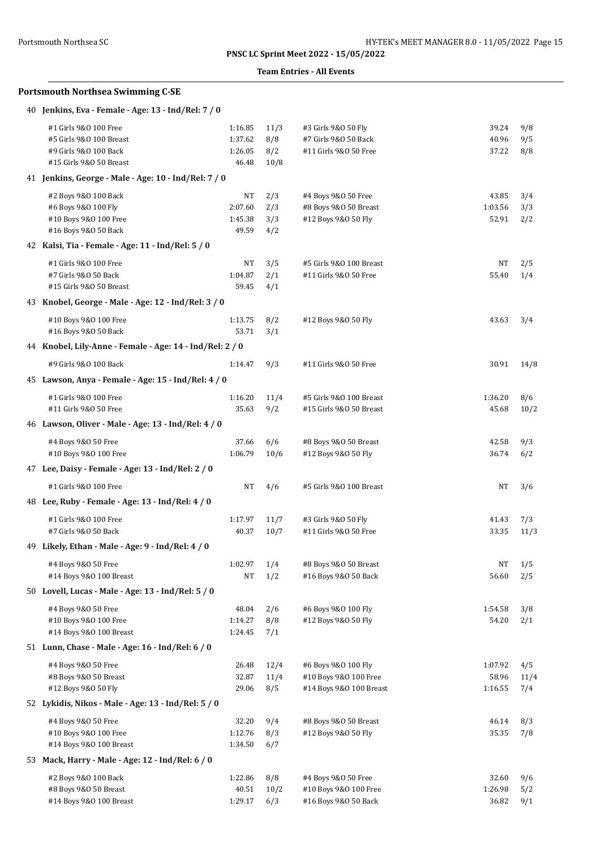### **Team Entries - All Events**

| 40 Jenkins, Eva - Female - Age: 13 - Ind/Rel: 7 / 0                       |                  |            |                         |           |      |
|---------------------------------------------------------------------------|------------------|------------|-------------------------|-----------|------|
| #1 Girls 9&0 100 Free                                                     | 1:16.85          | 11/3       | #3 Girls 9&0 50 Fly     | 39.24     | 9/8  |
| #5 Girls 9&0 100 Breast                                                   | 1:37.62          | 8/8        | #7 Girls 9&0 50 Back    | 40.96     | 9/5  |
| #9 Girls 9&0 100 Back                                                     | 1:26.05          | 8/2        | #11 Girls 9&0 50 Free   | 37.22     | 8/8  |
| #15 Girls 9&0 50 Breast                                                   | 46.48            | 10/8       |                         |           |      |
| 41 Jenkins, George - Male - Age: 10 - Ind/Rel: 7 / 0                      |                  |            |                         |           |      |
| #2 Boys 9&0 100 Back                                                      | NT               | 2/3        | #4 Boys 9&0 50 Free     | 43.85     | 3/4  |
| #6 Boys 9&0 100 Fly                                                       | 2:07.60          | 2/3        | #8 Boys 9&0 50 Breast   | 1:03.56   | 3/3  |
| #10 Boys 9&0 100 Free                                                     | 1:45.38          | 3/3        | #12 Boys 9&0 50 Fly     | 52.91     | 2/2  |
| #16 Boys 9&0 50 Back<br>42 Kalsi, Tia - Female - Age: 11 - Ind/Rel: 5 / 0 | 49.59            | 4/2        |                         |           |      |
|                                                                           |                  |            |                         |           |      |
| #1 Girls 9&0 100 Free                                                     | NT               | 3/5        | #5 Girls 9&0 100 Breast | NT        | 2/5  |
| #7 Girls 9&0 50 Back<br>#15 Girls 9&0 50 Breast                           | 1:04.87<br>59.45 | 2/1<br>4/1 | #11 Girls 9&0 50 Free   | 55.40     | 1/4  |
| 43 Knobel, George - Male - Age: 12 - Ind/Rel: 3 / 0                       |                  |            |                         |           |      |
|                                                                           |                  |            |                         |           |      |
| #10 Boys 9&0 100 Free                                                     | 1:13.75          | 8/2        | #12 Boys 9&0 50 Fly     | 43.63     | 3/4  |
| #16 Boys 9&0 50 Back                                                      | 53.71            | 3/1        |                         |           |      |
| 44 Knobel, Lily-Anne - Female - Age: 14 - Ind/Rel: 2 / 0                  |                  |            |                         |           |      |
| #9 Girls 9&0 100 Back                                                     | 1:14.47          | 9/3        | #11 Girls 9&0 50 Free   | 30.91     | 14/8 |
| 45 Lawson, Anya - Female - Age: 15 - Ind/Rel: 4 / 0                       |                  |            |                         |           |      |
| #1 Girls 9&0 100 Free                                                     | 1:16.20          | 11/4       | #5 Girls 9&0 100 Breast | 1:36.20   | 8/6  |
| #11 Girls 9&0 50 Free                                                     | 35.63            | 9/2        | #15 Girls 9&0 50 Breast | 45.68     | 10/2 |
| 46 Lawson, Oliver - Male - Age: 13 - Ind/Rel: 4 / 0                       |                  |            |                         |           |      |
| #4 Boys 9&0 50 Free                                                       | 37.66            | 6/6        | #8 Boys 9&0 50 Breast   | 42.58     | 9/3  |
| #10 Boys 9&0 100 Free                                                     | 1:06.79          | 10/6       | #12 Boys 9&0 50 Fly     | 36.74     | 6/2  |
| 47 Lee, Daisy - Female - Age: 13 - Ind/Rel: 2 / 0                         |                  |            |                         |           |      |
| #1 Girls 9&0 100 Free                                                     | NT               | 4/6        | #5 Girls 9&0 100 Breast | NT        | 3/6  |
| 48 Lee, Ruby - Female - Age: 13 - Ind/Rel: 4 / 0                          |                  |            |                         |           |      |
| #1 Girls 9&0 100 Free                                                     | 1:17.97          | 11/7       | #3 Girls 9&0 50 Fly     | 41.43     | 7/3  |
| #7 Girls 9&0 50 Back                                                      | 40.37            | 10/7       | #11 Girls 9&0 50 Free   | 33.35     | 11/3 |
| 49 Likely, Ethan - Male - Age: 9 - Ind/Rel: 4 / 0                         |                  |            |                         |           |      |
| #4 Boys 9&0 50 Free                                                       | 1:02.97          | 1/4        | #8 Boys 9&0 50 Breast   | <b>NT</b> | 1/5  |
| #14 Boys 9&0 100 Breast                                                   | NT               | 1/2        | #16 Boys 9&0 50 Back    | 56.60     | 2/5  |
| 50 Lovell, Lucas - Male - Age: 13 - Ind/Rel: 5 / 0                        |                  |            |                         |           |      |
| #4 Boys 9&0 50 Free                                                       | 48.04            | 2/6        | #6 Boys 9&0 100 Fly     | 1:54.58   | 3/8  |
| #10 Boys 9&0 100 Free                                                     | 1:14.27          | 8/8        | #12 Boys 9&0 50 Fly     | 54.20     | 2/1  |
| #14 Boys 9&0 100 Breast                                                   | 1:24.45          | 7/1        |                         |           |      |
| 51 Lunn, Chase - Male - Age: 16 - Ind/Rel: 6 / 0                          |                  |            |                         |           |      |
| #4 Boys 9&0 50 Free                                                       | 26.48            | 12/4       | #6 Boys 9&0 100 Fly     | 1:07.92   | 4/5  |
| #8 Boys 9&0 50 Breast                                                     | 32.87            | 11/4       | #10 Boys 9&0 100 Free   | 58.96     | 11/4 |
| #12 Boys 9&0 50 Fly                                                       | 29.06            | 8/5        | #14 Boys 9&0 100 Breast | 1:16.55   | 7/4  |
| 52 Lykidis, Nikos - Male - Age: 13 - Ind/Rel: 5 / 0                       |                  |            |                         |           |      |
| #4 Boys 9&0 50 Free                                                       | 32.20            | 9/4        | #8 Boys 9&0 50 Breast   | 46.14     | 8/3  |
| #10 Boys 9&0 100 Free                                                     | 1:12.76          | 8/3        | #12 Boys 9&0 50 Fly     | 35.35     | 7/8  |
| #14 Boys 9&0 100 Breast                                                   | 1:34.50          | 6/7        |                         |           |      |
| 53 Mack, Harry - Male - Age: 12 - Ind/Rel: 6 / 0                          |                  |            |                         |           |      |
| #2 Boys 9&0 100 Back                                                      | 1:22.86          | 8/8        | #4 Boys 9&0 50 Free     | 32.60     | 9/6  |
| #8 Boys 9&0 50 Breast                                                     | 40.51            | 10/2       | #10 Boys 9&0 100 Free   | 1:26.98   | 5/2  |
| #14 Boys 9&0 100 Breast                                                   | 1:29.17          | 6/3        | #16 Boys 9&0 50 Back    | 36.82     | 9/1  |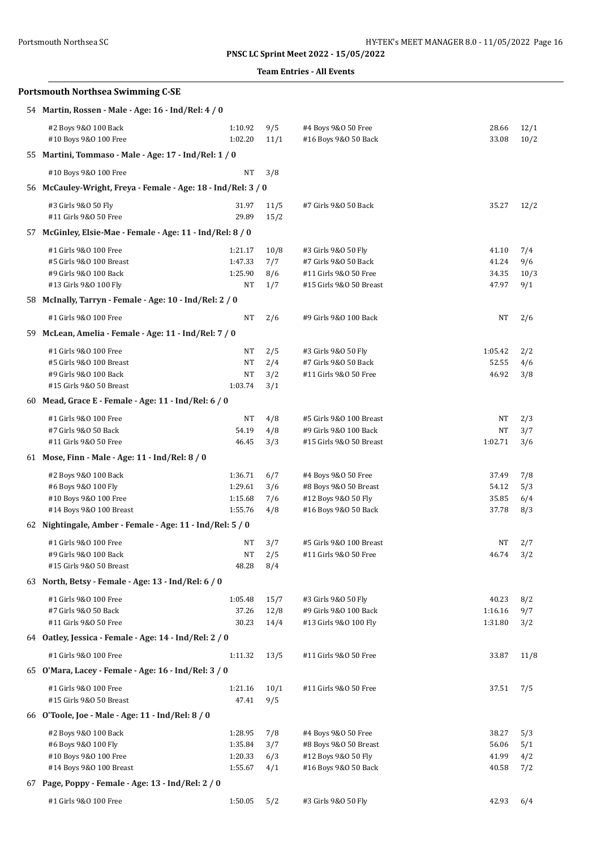| Portsmouth Northsea SC                                                                                                                                                                                                                                                                                                              |                                          | HY-TEK's MEET MANAGER 8.0 - 11/05/2022 Page 16<br>PNSC LC Sprint Meet 2022 - 15/05/2022 |                                                                                                 |                                  |                           |  |  |  |  |
|-------------------------------------------------------------------------------------------------------------------------------------------------------------------------------------------------------------------------------------------------------------------------------------------------------------------------------------|------------------------------------------|-----------------------------------------------------------------------------------------|-------------------------------------------------------------------------------------------------|----------------------------------|---------------------------|--|--|--|--|
|                                                                                                                                                                                                                                                                                                                                     |                                          |                                                                                         | <b>Team Entries - All Events</b>                                                                |                                  |                           |  |  |  |  |
| <b>Portsmouth Northsea Swimming C-SE</b>                                                                                                                                                                                                                                                                                            |                                          |                                                                                         |                                                                                                 |                                  |                           |  |  |  |  |
| 54 Martin, Rossen - Male - Age: 16 - Ind/Rel: 4 / 0                                                                                                                                                                                                                                                                                 |                                          |                                                                                         |                                                                                                 |                                  |                           |  |  |  |  |
| #2 Boys 9&0 100 Back<br>#10 Boys 9&0 100 Free                                                                                                                                                                                                                                                                                       | 1:10.92<br>1:02.20                       | 9/5<br>11/1                                                                             | #4 Boys 9&0 50 Free<br>#16 Boys 9&0 50 Back                                                     | 28.66<br>33.08                   | 12/1<br>10/2              |  |  |  |  |
| 55 Martini, Tommaso - Male - Age: 17 - Ind/Rel: 1 / 0                                                                                                                                                                                                                                                                               |                                          |                                                                                         |                                                                                                 |                                  |                           |  |  |  |  |
| #10 Boys 9&0 100 Free                                                                                                                                                                                                                                                                                                               | NT                                       | 3/8                                                                                     |                                                                                                 |                                  |                           |  |  |  |  |
| 56 McCauley-Wright, Freya - Female - Age: 18 - Ind/Rel: 3 / 0                                                                                                                                                                                                                                                                       |                                          |                                                                                         |                                                                                                 |                                  |                           |  |  |  |  |
| #3 Girls 9&0 50 Fly<br>#11 Girls 9&0 50 Free                                                                                                                                                                                                                                                                                        | 31.97<br>29.89                           | 11/5<br>15/2                                                                            | #7 Girls 9&0 50 Back                                                                            | 35.27                            | 12/2                      |  |  |  |  |
| 57 McGinley, Elsie-Mae - Female - Age: 11 - Ind/Rel: 8 / 0                                                                                                                                                                                                                                                                          |                                          |                                                                                         |                                                                                                 |                                  |                           |  |  |  |  |
| #1 Girls 9&0 100 Free<br>#5 Girls 9&0 100 Breast<br>#9 Girls 9&0 100 Back<br>#13 Girls 9&0 100 Fly                                                                                                                                                                                                                                  | 1:21.17<br>1:47.33<br>1:25.90<br>NT      | 10/8<br>7/7<br>8/6<br>1/7                                                               | #3 Girls 9&0 50 Fly<br>#7 Girls 9&0 50 Back<br>#11 Girls 9&0 50 Free<br>#15 Girls 9&0 50 Breast | 41.10<br>41.24<br>34.35<br>47.97 | 7/4<br>9/6<br>10/3<br>9/1 |  |  |  |  |
| 58 McInally, Tarryn - Female - Age: 10 - Ind/Rel: 2 / 0                                                                                                                                                                                                                                                                             |                                          |                                                                                         |                                                                                                 |                                  |                           |  |  |  |  |
| #1 Girls 9&0 100 Free                                                                                                                                                                                                                                                                                                               | NT                                       | 2/6                                                                                     | #9 Girls 9&0 100 Back                                                                           | NT                               | 2/6                       |  |  |  |  |
| 59 McLean, Amelia - Female - Age: 11 - Ind/Rel: 7 / 0                                                                                                                                                                                                                                                                               |                                          |                                                                                         |                                                                                                 |                                  |                           |  |  |  |  |
| #1 Girls 9&0 100 Free<br>#5 Girls 9&0 100 Breast<br>#9 Girls 9&0 100 Back<br>#15 Girls 9&0 50 Breast                                                                                                                                                                                                                                | NT<br>NT<br>NT<br>1:03.74                | 2/5<br>2/4<br>3/2<br>3/1                                                                | #3 Girls 9&0 50 Fly<br>#7 Girls 9&0 50 Back<br>#11 Girls 9&0 50 Free                            | 1:05.42<br>52.55<br>46.92        | 2/2<br>4/6<br>3/8         |  |  |  |  |
| 60 Mead, Grace E - Female - Age: 11 - Ind/Rel: 6 / 0                                                                                                                                                                                                                                                                                |                                          |                                                                                         |                                                                                                 |                                  |                           |  |  |  |  |
| #1 Girls 9&0 100 Free<br>#7 Girls 9&0 50 Back<br>#11 Girls 9&0 50 Free<br>61 Mose, Finn - Male - Age: 11 - Ind/Rel: 8 / 0                                                                                                                                                                                                           | NT<br>54.19<br>46.45                     | 4/8<br>4/8<br>3/3                                                                       | #5 Girls 9&0 100 Breast<br>#9 Girls 9&0 100 Back<br>#15 Girls 9&0 50 Breast                     | NT<br>NT<br>1:02.71              | 2/3<br>3/7<br>3/6         |  |  |  |  |
|                                                                                                                                                                                                                                                                                                                                     |                                          |                                                                                         |                                                                                                 |                                  |                           |  |  |  |  |
| #2 Boys 9&0 100 Back<br>#6 Boys 9&0 100 Fly<br>#10 Boys 9&0 100 Free<br>#14 Boys 9&0 100 Breast                                                                                                                                                                                                                                     | 1:36.71<br>1:29.61<br>1:15.68<br>1:55.76 | 6/7<br>3/6<br>7/6<br>4/8                                                                | #4 Boys 9&0 50 Free<br>#8 Boys 9&0 50 Breast<br>#12 Boys 9&0 50 Fly<br>#16 Boys 9&0 50 Back     | 37.49<br>54.12<br>35.85<br>37.78 | 7/8<br>5/3<br>6/4<br>8/3  |  |  |  |  |
| 62 Nightingale, Amber - Female - Age: 11 - Ind/Rel: 5 / 0                                                                                                                                                                                                                                                                           |                                          |                                                                                         |                                                                                                 |                                  |                           |  |  |  |  |
| #1 Girls 9&0 100 Free<br>#9 Girls 9&0 100 Back<br>#15 Girls 9&0 50 Breast                                                                                                                                                                                                                                                           | NT<br><b>NT</b><br>48.28                 | 3/7<br>2/5<br>8/4                                                                       | #5 Girls 9&0 100 Breast<br>#11 Girls 9&0 50 Free                                                | NT<br>46.74                      | 2/7<br>3/2                |  |  |  |  |
| 63 North, Betsy - Female - Age: 13 - Ind/Rel: 6 / 0                                                                                                                                                                                                                                                                                 |                                          |                                                                                         |                                                                                                 |                                  |                           |  |  |  |  |
| #1 Girls 9&0 100 Free<br>#7 Girls 9&0 50 Back<br>#11 Girls 9&0 50 Free                                                                                                                                                                                                                                                              | 1:05.48<br>37.26<br>30.23                | 15/7<br>12/8<br>14/4                                                                    | #3 Girls 9&0 50 Fly<br>#9 Girls 9&0 100 Back<br>#13 Girls 9&0 100 Fly                           | 40.23<br>1:16.16<br>1:31.80      | 8/2<br>9/7<br>3/2         |  |  |  |  |
| 64 Oatley, Jessica - Female - Age: 14 - Ind/Rel: 2 / 0                                                                                                                                                                                                                                                                              |                                          |                                                                                         |                                                                                                 |                                  |                           |  |  |  |  |
| #1 Girls 9&0 100 Free                                                                                                                                                                                                                                                                                                               | 1:11.32                                  | 13/5                                                                                    | #11 Girls 9&0 50 Free                                                                           | 33.87                            | 11/8                      |  |  |  |  |
| $\mathcal{L}$ $\mathbb{C}$ $\mathbb{C}$ $\mathbb{C}$ $\mathbb{C}$ $\mathbb{C}$ $\mathbb{C}$ $\mathbb{C}$ $\mathbb{C}$ $\mathbb{C}$ $\mathbb{C}$ $\mathbb{C}$ $\mathbb{C}$ $\mathbb{C}$ $\mathbb{C}$ $\mathbb{C}$ $\mathbb{C}$ $\mathbb{C}$ $\mathbb{C}$ $\mathbb{C}$ $\mathbb{C}$ $\mathbb{C}$ $\mathbb{C}$ $\mathbb{C}$ $\mathbb{$ |                                          |                                                                                         |                                                                                                 |                                  |                           |  |  |  |  |

#1 Girls 9&O 100 Free 1:11.32 13/5 #11 Girls 9&O 50 Free 33.87 11/8 65 **O'Mara, Lacey - Female - Age: 16 - Ind/Rel: 3 / 0** #1 Girls 9&O 100 Free 1:21.16 10/1 #11 Girls 9&O 50 Free 37.51 7/5 #15 Girls 9&O 50 Breast 47.41 9/5 66 **O'Toole, Joe - Male - Age: 11 - Ind/Rel: 8 / 0** #2 Boys 9&O 100 Back 1:28.95 7/8 #4 Boys 9&O 50 Free 38.27 5/3 #6 Boys 9&O 100 Fly 1:35.84 3/7 #8 Boys 9&O 50 Breast 56.06 5/1 #10 Boys 9&O 100 Free 1:20.33 6/3 #12 Boys 9&O 50 Fly 41.99 4/2 #14 Boys 9&O 100 Breast 1:55.67 4/1 #16 Boys 9&O 50 Back 40.58 7/2 67 **Page, Poppy - Female - Age: 13 - Ind/Rel: 2 / 0**

#1 Girls 9&O 100 Free 1:50.05 5/2 #3 Girls 9&O 50 Fly 42.93 6/4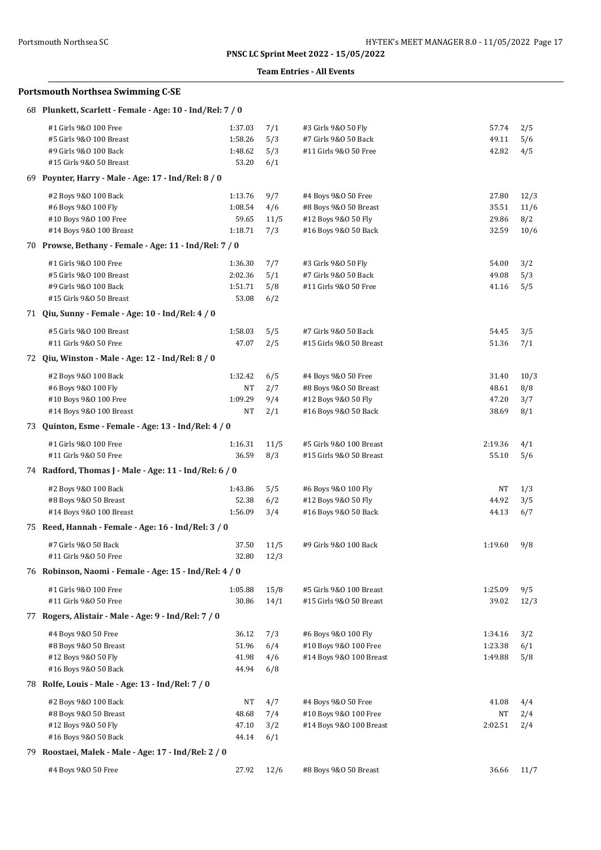### **Team Entries - All Events**

| 68 Plunkett, Scarlett - Female - Age: 10 - Ind/Rel: 7 / 0 |         |            |                         |         |      |
|-----------------------------------------------------------|---------|------------|-------------------------|---------|------|
| #1 Girls 9&0 100 Free                                     | 1:37.03 | 7/1        | #3 Girls 9&0 50 Fly     | 57.74   | 2/5  |
| #5 Girls 9&0 100 Breast                                   | 1:58.26 | 5/3        | #7 Girls 9&0 50 Back    | 49.11   | 5/6  |
| #9 Girls 9&0 100 Back                                     | 1:48.62 | 5/3        | #11 Girls 9&0 50 Free   | 42.82   | 4/5  |
| #15 Girls 9&0 50 Breast                                   | 53.20   | 6/1        |                         |         |      |
| 69 Poynter, Harry - Male - Age: 17 - Ind/Rel: 8 / 0       |         |            |                         |         |      |
| #2 Boys 9&0 100 Back                                      | 1:13.76 | 9/7        | #4 Boys 9&0 50 Free     | 27.80   | 12/3 |
| #6 Boys 9&0 100 Fly                                       | 1:08.54 | 4/6        | #8 Boys 9&0 50 Breast   | 35.51   | 11/6 |
| #10 Boys 9&0 100 Free                                     | 59.65   | 11/5       | #12 Boys 9&0 50 Fly     | 29.86   | 8/2  |
| #14 Boys 9&0 100 Breast                                   | 1:18.71 | 7/3        | #16 Boys 9&0 50 Back    | 32.59   | 10/6 |
| 70 Prowse, Bethany - Female - Age: 11 - Ind/Rel: 7 / 0    |         |            |                         |         |      |
| #1 Girls 9&0 100 Free                                     | 1:36.30 | 7/7        | #3 Girls 9&0 50 Fly     | 54.00   | 3/2  |
| #5 Girls 9&0 100 Breast                                   | 2:02.36 | 5/1        | #7 Girls 9&0 50 Back    | 49.08   | 5/3  |
| #9 Girls 9&0 100 Back                                     | 1:51.71 | 5/8        | #11 Girls 9&0 50 Free   | 41.16   | 5/5  |
| #15 Girls 9&0 50 Breast                                   | 53.08   | 6/2        |                         |         |      |
| 71 Qiu, Sunny - Female - Age: 10 - Ind/Rel: 4 / 0         |         |            |                         |         |      |
| #5 Girls 9&0 100 Breast                                   | 1:58.03 | 5/5        | #7 Girls 9&0 50 Back    | 54.45   | 3/5  |
| #11 Girls 9&0 50 Free                                     | 47.07   | 2/5        | #15 Girls 9&0 50 Breast | 51.36   | 7/1  |
| 72 Qiu, Winston - Male - Age: 12 - Ind/Rel: 8 / 0         |         |            |                         |         |      |
| #2 Boys 9&0 100 Back                                      | 1:32.42 | 6/5        | #4 Boys 9&0 50 Free     | 31.40   | 10/3 |
| #6 Boys 9&0 100 Fly                                       | NT      | 2/7        | #8 Boys 9&0 50 Breast   | 48.61   | 8/8  |
| #10 Boys 9&0 100 Free                                     | 1:09.29 | 9/4        | #12 Boys 9&0 50 Fly     | 47.20   | 3/7  |
| #14 Boys 9&0 100 Breast                                   | NT      | 2/1        | #16 Boys 9&0 50 Back    | 38.69   | 8/1  |
| 73 Quinton, Esme - Female - Age: 13 - Ind/Rel: 4 / 0      |         |            |                         |         |      |
| #1 Girls 9&0 100 Free                                     | 1:16.31 | 11/5       | #5 Girls 9&0 100 Breast | 2:19.36 | 4/1  |
| #11 Girls 9&0 50 Free                                     | 36.59   | 8/3        | #15 Girls 9&0 50 Breast | 55.10   | 5/6  |
| 74 Radford, Thomas J - Male - Age: 11 - Ind/Rel: 6 / 0    |         |            |                         |         |      |
| #2 Boys 9&0 100 Back                                      | 1:43.86 | 5/5        | #6 Boys 9&0 100 Fly     | NΤ      | 1/3  |
| #8 Boys 9&0 50 Breast                                     | 52.38   | 6/2        | #12 Boys 9&0 50 Fly     | 44.92   | 3/5  |
| #14 Boys 9&0 100 Breast                                   | 1:56.09 | 3/4        | #16 Boys 9&0 50 Back    | 44.13   | 6/7  |
| 75 Reed, Hannah - Female - Age: 16 - Ind/Rel: 3 / 0       |         |            |                         |         |      |
| #7 Girls 9&0 50 Back                                      | 37.50   | 11/5       | #9 Girls 9&0 100 Back   | 1:19.60 | 9/8  |
| #11 Girls 9&0 50 Free                                     |         | 32.80 12/3 |                         |         |      |
| 76 Robinson, Naomi - Female - Age: 15 - Ind/Rel: 4 / 0    |         |            |                         |         |      |
| #1 Girls 9&0 100 Free                                     | 1:05.88 | 15/8       | #5 Girls 9&0 100 Breast | 1:25.09 | 9/5  |
| #11 Girls 9&0 50 Free                                     | 30.86   | 14/1       | #15 Girls 9&0 50 Breast | 39.02   | 12/3 |
| 77 Rogers, Alistair - Male - Age: 9 - Ind/Rel: 7 / 0      |         |            |                         |         |      |
| #4 Boys 9&0 50 Free                                       | 36.12   | 7/3        | #6 Boys 9&0 100 Fly     | 1:34.16 | 3/2  |
| #8 Boys 9&0 50 Breast                                     | 51.96   | 6/4        | #10 Boys 9&0 100 Free   | 1:23.38 | 6/1  |
| #12 Boys 9&0 50 Fly                                       | 41.98   | 4/6        | #14 Boys 9&0 100 Breast | 1:49.88 | 5/8  |
| #16 Boys 9&0 50 Back                                      | 44.94   | 6/8        |                         |         |      |
| 78 Rolfe, Louis - Male - Age: 13 - Ind/Rel: 7 / 0         |         |            |                         |         |      |
| #2 Boys 9&0 100 Back                                      | NT      | 4/7        | #4 Boys 9&0 50 Free     | 41.08   | 4/4  |
| #8 Boys 9&0 50 Breast                                     | 48.68   | 7/4        | #10 Boys 9&0 100 Free   | NT      | 2/4  |
| #12 Boys 9&0 50 Fly                                       | 47.10   | 3/2        | #14 Boys 9&0 100 Breast | 2:02.51 | 2/4  |
| #16 Boys 9&0 50 Back                                      | 44.14   | 6/1        |                         |         |      |
| 79 Roostaei, Malek - Male - Age: 17 - Ind/Rel: 2 / 0      |         |            |                         |         |      |
| #4 Boys 9&0 50 Free                                       | 27.92   | 12/6       | #8 Boys 9&0 50 Breast   | 36.66   | 11/7 |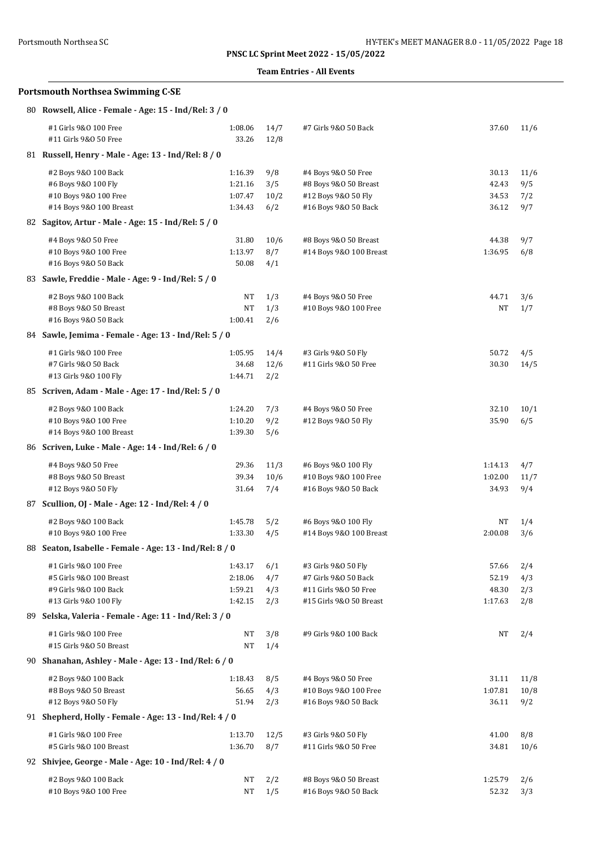### **Team Entries - All Events**

| 80 Rowsell, Alice - Female - Age: 15 - Ind/Rel: 3 / 0                                                    |                                          |                           |                                                                                                 |                                    |                           |
|----------------------------------------------------------------------------------------------------------|------------------------------------------|---------------------------|-------------------------------------------------------------------------------------------------|------------------------------------|---------------------------|
| #1 Girls 9&0 100 Free<br>#11 Girls 9&0 50 Free                                                           | 1:08.06<br>33.26                         | 14/7<br>12/8              | #7 Girls 9&0 50 Back                                                                            | 37.60                              | 11/6                      |
| 81 Russell, Henry - Male - Age: 13 - Ind/Rel: 8 / 0                                                      |                                          |                           |                                                                                                 |                                    |                           |
| #2 Boys 9&0 100 Back<br>#6 Boys 9&0 100 Fly<br>#10 Boys 9&0 100 Free<br>#14 Boys 9&0 100 Breast          | 1:16.39<br>1:21.16<br>1:07.47<br>1:34.43 | 9/8<br>3/5<br>10/2<br>6/2 | #4 Boys 9&0 50 Free<br>#8 Boys 9&0 50 Breast<br>#12 Boys 9&0 50 Fly<br>#16 Boys 9&0 50 Back     | 30.13<br>42.43<br>34.53<br>36.12   | 11/6<br>9/5<br>7/2<br>9/7 |
| 82 Sagitov, Artur - Male - Age: 15 - Ind/Rel: 5 / 0                                                      |                                          |                           |                                                                                                 |                                    |                           |
| #4 Boys 9&0 50 Free<br>#10 Boys 9&0 100 Free<br>#16 Boys 9&0 50 Back                                     | 31.80<br>1:13.97<br>50.08                | 10/6<br>8/7<br>4/1        | #8 Boys 9&0 50 Breast<br>#14 Boys 9&0 100 Breast                                                | 44.38<br>1:36.95                   | 9/7<br>6/8                |
| 83 Sawle, Freddie - Male - Age: 9 - Ind/Rel: 5 / 0                                                       |                                          |                           |                                                                                                 |                                    |                           |
| #2 Boys 9&0 100 Back<br>#8 Boys 9&0 50 Breast<br>#16 Boys 9&0 50 Back                                    | NT<br>NT<br>1:00.41                      | 1/3<br>1/3<br>2/6         | #4 Boys 9&0 50 Free<br>#10 Boys 9&0 100 Free                                                    | 44.71<br>NT                        | 3/6<br>1/7                |
| 84 Sawle, Jemima - Female - Age: 13 - Ind/Rel: 5 / 0                                                     |                                          |                           |                                                                                                 |                                    |                           |
| #1 Girls 9&0 100 Free<br>#7 Girls 9&0 50 Back<br>#13 Girls 9&0 100 Fly                                   | 1:05.95<br>34.68<br>1:44.71              | 14/4<br>12/6<br>2/2       | #3 Girls 9&0 50 Fly<br>#11 Girls 9&0 50 Free                                                    | 50.72<br>30.30                     | 4/5<br>14/5               |
| 85 Scriven, Adam - Male - Age: 17 - Ind/Rel: 5 / 0                                                       |                                          |                           |                                                                                                 |                                    |                           |
| #2 Boys 9&0 100 Back<br>#10 Boys 9&0 100 Free<br>#14 Boys 9&0 100 Breast                                 | 1:24.20<br>1:10.20<br>1:39.30            | 7/3<br>9/2<br>5/6         | #4 Boys 9&0 50 Free<br>#12 Boys 9&0 50 Fly                                                      | 32.10<br>35.90                     | 10/1<br>6/5               |
| 86 Scriven, Luke - Male - Age: 14 - Ind/Rel: 6 / 0                                                       |                                          |                           |                                                                                                 |                                    |                           |
| #4 Boys 9&0 50 Free<br>#8 Boys 9&0 50 Breast<br>#12 Boys 9&0 50 Fly                                      | 29.36<br>39.34<br>31.64                  | 11/3<br>10/6<br>7/4       | #6 Boys 9&0 100 Fly<br>#10 Boys 9&0 100 Free<br>#16 Boys 9&0 50 Back                            | 1:14.13<br>1:02.00<br>34.93        | 4/7<br>11/7<br>9/4        |
| 87 Scullion, OJ - Male - Age: 12 - Ind/Rel: 4 / 0                                                        |                                          |                           |                                                                                                 |                                    |                           |
| #2 Boys 9&0 100 Back<br>#10 Boys 9&0 100 Free<br>88 Seaton, Isabelle - Female - Age: 13 - Ind/Rel: 8 / 0 | 1:45.78<br>1:33.30                       | 5/2<br>4/5                | #6 Boys 9&0 100 Fly<br>#14 Boys 9&0 100 Breast                                                  | NT<br>2:00.08                      | 1/4<br>3/6                |
|                                                                                                          |                                          |                           |                                                                                                 |                                    |                           |
| #1 Girls 9&0 100 Free<br>#5 Girls 9&0 100 Breast<br>#9 Girls 9&0 100 Back<br>#13 Girls 9&0 100 Fly       | 1:43.17<br>2:18.06<br>1:59.21<br>1:42.15 | 6/1<br>4/7<br>4/3<br>2/3  | #3 Girls 9&0 50 Fly<br>#7 Girls 9&0 50 Back<br>#11 Girls 9&0 50 Free<br>#15 Girls 9&0 50 Breast | 57.66<br>52.19<br>48.30<br>1:17.63 | 2/4<br>4/3<br>2/3<br>2/8  |
| 89 Selska, Valeria - Female - Age: 11 - Ind/Rel: 3 / 0                                                   |                                          |                           |                                                                                                 |                                    |                           |
| #1 Girls 9&0 100 Free<br>#15 Girls 9&0 50 Breast                                                         | NT<br>NT                                 | 3/8<br>1/4                | #9 Girls 9&0 100 Back                                                                           | NT                                 | 2/4                       |
| 90 Shanahan, Ashley - Male - Age: 13 - Ind/Rel: 6 / 0                                                    |                                          |                           |                                                                                                 |                                    |                           |
| #2 Boys 9&0 100 Back<br>#8 Boys 9&0 50 Breast<br>#12 Boys 9&0 50 Fly                                     | 1:18.43<br>56.65<br>51.94                | 8/5<br>4/3<br>2/3         | #4 Boys 9&0 50 Free<br>#10 Boys 9&0 100 Free<br>#16 Boys 9&0 50 Back                            | 31.11<br>1:07.81<br>36.11          | 11/8<br>10/8<br>9/2       |
| 91 Shepherd, Holly - Female - Age: 13 - Ind/Rel: 4 / 0                                                   |                                          |                           |                                                                                                 |                                    |                           |
| #1 Girls 9&0 100 Free<br>#5 Girls 9&0 100 Breast                                                         | 1:13.70<br>1:36.70                       | 12/5<br>8/7               | #3 Girls 9&0 50 Fly<br>#11 Girls 9&0 50 Free                                                    | 41.00<br>34.81                     | 8/8<br>10/6               |
| 92 Shivjee, George - Male - Age: 10 - Ind/Rel: 4 / 0                                                     |                                          |                           |                                                                                                 |                                    |                           |
| #2 Boys 9&0 100 Back<br>#10 Boys 9&0 100 Free                                                            | NT<br>NT                                 | 2/2<br>1/5                | #8 Boys 9&0 50 Breast<br>#16 Boys 9&0 50 Back                                                   | 1:25.79<br>52.32                   | 2/6<br>3/3                |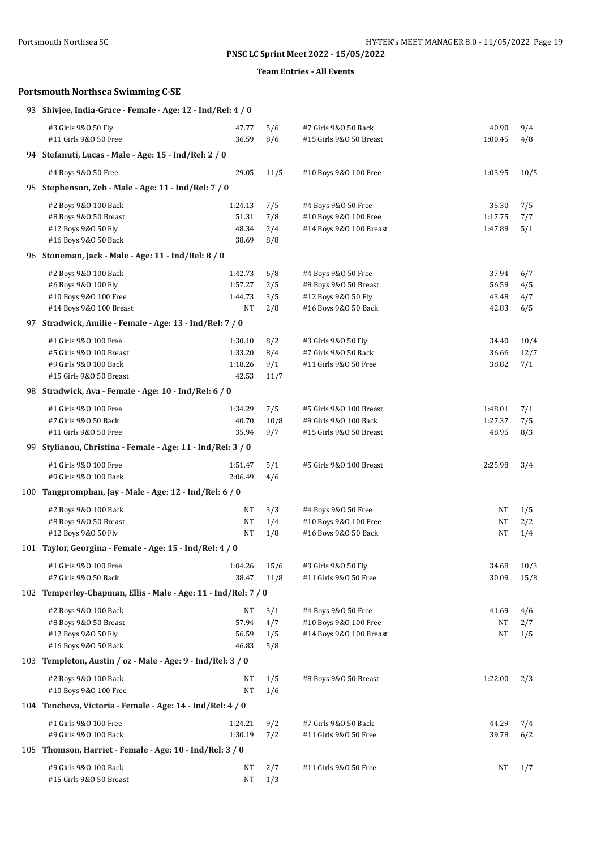## **Team Entries - All Events**

| <b>Portsmouth Northsea Swimming C-SE</b>                       |                |            |                                                 |                  |            |  |  |  |  |
|----------------------------------------------------------------|----------------|------------|-------------------------------------------------|------------------|------------|--|--|--|--|
| 93 Shivjee, India-Grace - Female - Age: 12 - Ind/Rel: 4 / 0    |                |            |                                                 |                  |            |  |  |  |  |
| #3 Girls 9&0 50 Fly<br>#11 Girls 9&0 50 Free                   | 47.77<br>36.59 | 5/6<br>8/6 | #7 Girls 9&0 50 Back<br>#15 Girls 9&0 50 Breast | 40.90<br>1:00.45 | 9/4<br>4/8 |  |  |  |  |
| 94 Stefanuti, Lucas - Male - Age: 15 - Ind/Rel: 2 / 0          |                |            |                                                 |                  |            |  |  |  |  |
| #4 Boys 9&0 50 Free                                            | 29.05          | 11/5       | #10 Boys 9&0 100 Free                           | 1:03.95          | 10/5       |  |  |  |  |
| 95 Stephenson, Zeb - Male - Age: 11 - Ind/Rel: 7 / 0           |                |            |                                                 |                  |            |  |  |  |  |
| #2 Boys 9&0 100 Back                                           | 1:24.13        | 7/5        | #4 Boys 9&0 50 Free                             | 35.30            | 7/5        |  |  |  |  |
| #8 Boys 9&0 50 Breast                                          | 51.31          | 7/8        | #10 Boys 9&0 100 Free                           | 1:17.75          | 7/7        |  |  |  |  |
| #12 Boys 9&0 50 Fly                                            | 48.34          | 2/4        | #14 Boys 9&0 100 Breast                         | 1:47.89          | 5/1        |  |  |  |  |
| #16 Boys 9&0 50 Back                                           | 38.69          | 8/8        |                                                 |                  |            |  |  |  |  |
| 96 Stoneman, Jack - Male - Age: 11 - Ind/Rel: 8 / 0            |                |            |                                                 |                  |            |  |  |  |  |
| #2 Boys 9&0 100 Back                                           | 1:42.73        | 6/8        | #4 Boys 9&0 50 Free                             | 37.94            | 6/7        |  |  |  |  |
| #6 Boys 9&0 100 Fly                                            | 1:57.27        | 2/5        | #8 Boys 9&0 50 Breast                           | 56.59            | 4/5        |  |  |  |  |
| #10 Boys 9&0 100 Free                                          | 1:44.73        | 3/5        | #12 Boys 9&0 50 Fly                             | 43.48            | 4/7        |  |  |  |  |
| #14 Boys 9&0 100 Breast                                        | NT             | 2/8        | #16 Boys 9&0 50 Back                            | 42.83            | 6/5        |  |  |  |  |
| 97 Stradwick, Amilie - Female - Age: 13 - Ind/Rel: 7 / 0       |                |            |                                                 |                  |            |  |  |  |  |
| #1 Girls 9&0 100 Free                                          | 1:30.10        | 8/2        | #3 Girls 9&0 50 Fly                             | 34.40            | 10/4       |  |  |  |  |
| #5 Girls 9&0 100 Breast                                        | 1:33.20        | 8/4        | #7 Girls 9&0 50 Back                            | 36.66            | 12/7       |  |  |  |  |
| #9 Girls 9&0 100 Back                                          | 1:18.26        | 9/1        | #11 Girls 9&0 50 Free                           | 38.82            | 7/1        |  |  |  |  |
| #15 Girls 9&0 50 Breast                                        | 42.53          | 11/7       |                                                 |                  |            |  |  |  |  |
| 98 Stradwick, Ava - Female - Age: 10 - Ind/Rel: 6 / 0          |                |            |                                                 |                  |            |  |  |  |  |
| #1 Girls 9&0 100 Free                                          | 1:34.29        | 7/5        | #5 Girls 9&0 100 Breast                         | 1:48.01          | 7/1        |  |  |  |  |
| #7 Girls 9&0 50 Back                                           | 40.70          | 10/8       | #9 Girls 9&0 100 Back                           | 1:27.37          | 7/5        |  |  |  |  |
| #11 Girls 9&0 50 Free                                          | 35.94          | 9/7        | #15 Girls 9&0 50 Breast                         | 48.95            | 8/3        |  |  |  |  |
| 99 Stylianou, Christina - Female - Age: 11 - Ind/Rel: 3 / 0    |                |            |                                                 |                  |            |  |  |  |  |
| #1 Girls 9&0 100 Free                                          | 1:51.47        | 5/1        | #5 Girls 9&0 100 Breast                         | 2:25.98          | 3/4        |  |  |  |  |
| #9 Girls 9&0 100 Back                                          | 2:06.49        | 4/6        |                                                 |                  |            |  |  |  |  |
| 100 Tangpromphan, Jay - Male - Age: 12 - Ind/Rel: 6 / 0        |                |            |                                                 |                  |            |  |  |  |  |
| #2 Boys 9&0 100 Back                                           | NT             | 3/3        | #4 Boys 9&0 50 Free                             | NT               | 1/5        |  |  |  |  |
| #8 Boys 9&0 50 Breast                                          | NT             | 1/4        | #10 Boys 9&0 100 Free                           | NT               | 2/2        |  |  |  |  |
| #12 Boys 9&0 50 Fly                                            | NT             | 1/8        | #16 Boys 9&0 50 Back                            | NT               | 1/4        |  |  |  |  |
| 101 Taylor, Georgina - Female - Age: 15 - Ind/Rel: 4 / 0       |                |            |                                                 |                  |            |  |  |  |  |
| #1 Girls 9&0 100 Free                                          | 1:04.26        | 15/6       | #3 Girls 9&0 50 Fly                             | 34.68            | 10/3       |  |  |  |  |
| #7 Girls 9&0 50 Back                                           | 38.47          | 11/8       | #11 Girls 9&0 50 Free                           | 30.09            | 15/8       |  |  |  |  |
| 102 Temperley-Chapman, Ellis - Male - Age: 11 - Ind/Rel: 7 / 0 |                |            |                                                 |                  |            |  |  |  |  |
| #2 Boys 9&0 100 Back                                           | NT             | 3/1        | #4 Boys 9&0 50 Free                             | 41.69            | 4/6        |  |  |  |  |
| #8 Boys 9&0 50 Breast                                          | 57.94          | 4/7        | #10 Boys 9&0 100 Free                           | NT               | 2/7        |  |  |  |  |
| #12 Boys 9&0 50 Fly                                            | 56.59          | 1/5        | #14 Boys 9&0 100 Breast                         | NΤ               | 1/5        |  |  |  |  |
| #16 Boys 9&0 50 Back                                           | 46.83          | 5/8        |                                                 |                  |            |  |  |  |  |
| 103 Templeton, Austin / oz - Male - Age: 9 - Ind/Rel: 3 / 0    |                |            |                                                 |                  |            |  |  |  |  |
| #2 Boys 9&0 100 Back                                           | NT             | 1/5        | #8 Boys 9&0 50 Breast                           | 1:22.00          | 2/3        |  |  |  |  |
| #10 Boys 9&0 100 Free                                          | NT             | 1/6        |                                                 |                  |            |  |  |  |  |
| 104 Tencheva, Victoria - Female - Age: 14 - Ind/Rel: 4 / 0     |                |            |                                                 |                  |            |  |  |  |  |
| #1 Girls 9&0 100 Free                                          | 1:24.21        | 9/2        | #7 Girls 9&0 50 Back                            | 44.29            | 7/4        |  |  |  |  |
| #9 Girls 9&0 100 Back                                          | 1:30.19        | 7/2        | #11 Girls 9&0 50 Free                           | 39.78            | 6/2        |  |  |  |  |
| 105 Thomson, Harriet - Female - Age: 10 - Ind/Rel: 3 / 0       |                |            |                                                 |                  |            |  |  |  |  |
| #9 Girls 9&0 100 Back                                          | NT             | 2/7        | #11 Girls 9&0 50 Free                           | NT               | 1/7        |  |  |  |  |
| #15 Girls 9&0 50 Breast                                        | NT             | 1/3        |                                                 |                  |            |  |  |  |  |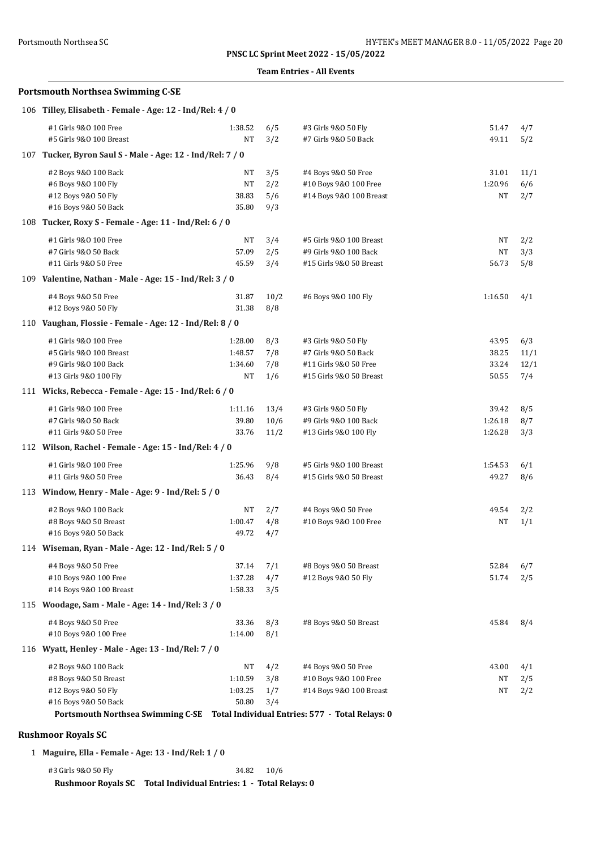### **Team Entries - All Events**

## **Portsmouth Northsea Swimming C-SE**

| 106 Tilley, Elisabeth - Female - Age: 12 - Ind/Rel: 4 / 0  |         |      |                                                 |         |      |  |
|------------------------------------------------------------|---------|------|-------------------------------------------------|---------|------|--|
| #1 Girls 9&0 100 Free                                      | 1:38.52 | 6/5  | #3 Girls 9&0 50 Fly                             | 51.47   | 4/7  |  |
| #5 Girls 9&0 100 Breast                                    | NT      | 3/2  | #7 Girls 9&0 50 Back                            | 49.11   | 5/2  |  |
| 107 Tucker, Byron Saul S - Male - Age: 12 - Ind/Rel: 7 / 0 |         |      |                                                 |         |      |  |
| #2 Boys 9&0 100 Back                                       | NT      | 3/5  | #4 Boys 9&0 50 Free                             | 31.01   | 11/1 |  |
| #6 Boys 9&0 100 Fly                                        | NT      | 2/2  | #10 Boys 9&0 100 Free                           | 1:20.96 | 6/6  |  |
| #12 Boys 9&0 50 Fly                                        | 38.83   | 5/6  | #14 Boys 9&0 100 Breast                         | NT      | 2/7  |  |
| #16 Boys 9&0 50 Back                                       | 35.80   | 9/3  |                                                 |         |      |  |
| 108 Tucker, Roxy S - Female - Age: 11 - Ind/Rel: 6 / 0     |         |      |                                                 |         |      |  |
| #1 Girls 9&0 100 Free                                      | NT      | 3/4  | #5 Girls 9&0 100 Breast                         | NT      | 2/2  |  |
| #7 Girls 9&0 50 Back                                       | 57.09   | 2/5  | #9 Girls 9&0 100 Back                           | NT      | 3/3  |  |
| #11 Girls 9&0 50 Free                                      | 45.59   | 3/4  | #15 Girls 9&0 50 Breast                         | 56.73   | 5/8  |  |
| 109 Valentine, Nathan - Male - Age: 15 - Ind/Rel: 3 / 0    |         |      |                                                 |         |      |  |
| #4 Boys 9&0 50 Free                                        | 31.87   | 10/2 | #6 Boys 9&0 100 Fly                             | 1:16.50 | 4/1  |  |
| #12 Boys 9&0 50 Fly                                        | 31.38   | 8/8  |                                                 |         |      |  |
| 110 Vaughan, Flossie - Female - Age: 12 - Ind/Rel: 8 / 0   |         |      |                                                 |         |      |  |
| #1 Girls 9&0 100 Free                                      | 1:28.00 | 8/3  | #3 Girls 9&0 50 Fly                             | 43.95   | 6/3  |  |
| #5 Girls 9&0 100 Breast                                    | 1:48.57 | 7/8  | #7 Girls 9&0 50 Back                            | 38.25   | 11/1 |  |
| #9 Girls 9&0 100 Back                                      | 1:34.60 | 7/8  | #11 Girls 9&0 50 Free                           | 33.24   | 12/1 |  |
| #13 Girls 9&0 100 Fly                                      | NT      | 1/6  | #15 Girls 9&0 50 Breast                         | 50.55   | 7/4  |  |
| 111 Wicks, Rebecca - Female - Age: 15 - Ind/Rel: 6 / 0     |         |      |                                                 |         |      |  |
| #1 Girls 9&0 100 Free                                      | 1:11.16 | 13/4 | #3 Girls 9&0 50 Fly                             | 39.42   | 8/5  |  |
| #7 Girls 9&0 50 Back                                       | 39.80   | 10/6 | #9 Girls 9&0 100 Back                           | 1:26.18 | 8/7  |  |
| #11 Girls 9&0 50 Free                                      | 33.76   | 11/2 | #13 Girls 9&0 100 Fly                           | 1:26.28 | 3/3  |  |
| 112 Wilson, Rachel - Female - Age: 15 - Ind/Rel: 4 / 0     |         |      |                                                 |         |      |  |
| #1 Girls 9&0 100 Free                                      | 1:25.96 | 9/8  | #5 Girls 9&0 100 Breast                         | 1:54.53 | 6/1  |  |
| #11 Girls 9&0 50 Free                                      | 36.43   | 8/4  | #15 Girls 9&0 50 Breast                         | 49.27   | 8/6  |  |
| 113 Window, Henry - Male - Age: 9 - Ind/Rel: 5 / 0         |         |      |                                                 |         |      |  |
| #2 Boys 9&0 100 Back                                       | NT      | 2/7  | #4 Boys 9&0 50 Free                             | 49.54   | 2/2  |  |
| #8 Boys 9&0 50 Breast                                      | 1:00.47 | 4/8  | #10 Boys 9&0 100 Free                           | NT      | 1/1  |  |
| #16 Boys 9&0 50 Back                                       | 49.72   | 4/7  |                                                 |         |      |  |
| 114 Wiseman, Ryan - Male - Age: 12 - Ind/Rel: 5 / 0        |         |      |                                                 |         |      |  |
| #4 Boys 9&0 50 Free                                        | 37.14   | 7/1  | #8 Boys 9&0 50 Breast                           | 52.84   | 6/7  |  |
| #10 Boys 9&0 100 Free                                      | 1:37.28 | 4/7  | #12 Boys 9&0 50 Fly                             | 51.74   | 2/5  |  |
| #14 Boys 9&0 100 Breast                                    | 1:58.33 | 3/5  |                                                 |         |      |  |
| 115 Woodage, Sam - Male - Age: 14 - Ind/Rel: 3 / 0         |         |      |                                                 |         |      |  |
| #4 Boys 9&0 50 Free                                        | 33.36   | 8/3  | #8 Boys 9&0 50 Breast                           | 45.84   | 8/4  |  |
| #10 Boys 9&0 100 Free                                      | 1:14.00 | 8/1  |                                                 |         |      |  |
| 116 Wyatt, Henley - Male - Age: 13 - Ind/Rel: 7 / 0        |         |      |                                                 |         |      |  |
| #2 Boys 9&0 100 Back                                       | NT      | 4/2  | #4 Boys 9&0 50 Free                             | 43.00   | 4/1  |  |
| #8 Boys 9&0 50 Breast                                      | 1:10.59 | 3/8  | #10 Boys 9&0 100 Free                           | NT      | 2/5  |  |
| #12 Boys 9&0 50 Fly                                        | 1:03.25 | 1/7  | #14 Boys 9&0 100 Breast                         | NT      | 2/2  |  |
| #16 Boys 9&0 50 Back                                       | 50.80   | 3/4  |                                                 |         |      |  |
| <b>Portsmouth Northsea Swimming C-SE</b>                   |         |      | Total Individual Entries: 577 - Total Relays: 0 |         |      |  |

## **Rushmoor Royals SC**

1 **Maguire, Ella - Female - Age: 13 - Ind/Rel: 1 / 0**

#3 Girls 9&O 50 Fly 34.82 10/6 **Rushmoor Royals SC Total Individual Entries: 1 - Total Relays: 0**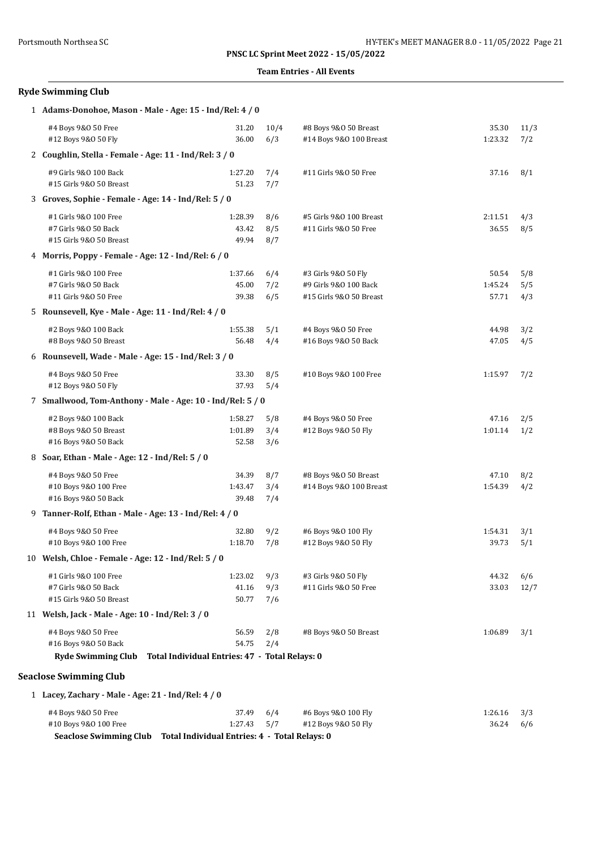### **Team Entries - All Events**

| <b>Ryde Swimming Club</b>                                                |                                                                  |                   |                                                                         |                           |                   |  |  |
|--------------------------------------------------------------------------|------------------------------------------------------------------|-------------------|-------------------------------------------------------------------------|---------------------------|-------------------|--|--|
|                                                                          | 1 Adams-Donohoe, Mason - Male - Age: 15 - Ind/Rel: 4 / 0         |                   |                                                                         |                           |                   |  |  |
| #4 Boys 9&0 50 Free<br>#12 Boys 9&0 50 Fly                               | 31.20<br>36.00                                                   | 10/4<br>6/3       | #8 Boys 9&0 50 Breast<br>#14 Boys 9&0 100 Breast                        | 35.30<br>1:23.32          | 11/3<br>7/2       |  |  |
| 2 Coughlin, Stella - Female - Age: 11 - Ind/Rel: 3 / 0                   |                                                                  |                   |                                                                         |                           |                   |  |  |
| #9 Girls 9&0 100 Back<br>#15 Girls 9&0 50 Breast                         | 1:27.20<br>51.23                                                 | 7/4<br>7/7        | #11 Girls 9&0 50 Free                                                   | 37.16                     | 8/1               |  |  |
| 3 Groves, Sophie - Female - Age: 14 - Ind/Rel: 5 / 0                     |                                                                  |                   |                                                                         |                           |                   |  |  |
| #1 Girls 9&0 100 Free<br>#7 Girls 9&0 50 Back<br>#15 Girls 9&0 50 Breast | 1:28.39<br>43.42<br>49.94                                        | 8/6<br>8/5<br>8/7 | #5 Girls 9&0 100 Breast<br>#11 Girls 9&0 50 Free                        | 2:11.51<br>36.55          | 4/3<br>8/5        |  |  |
| 4 Morris, Poppy - Female - Age: 12 - Ind/Rel: 6 / 0                      |                                                                  |                   |                                                                         |                           |                   |  |  |
| #1 Girls 9&0 100 Free<br>#7 Girls 9&0 50 Back<br>#11 Girls 9&0 50 Free   | 1:37.66<br>45.00<br>39.38                                        | 6/4<br>7/2<br>6/5 | #3 Girls 9&0 50 Fly<br>#9 Girls 9&0 100 Back<br>#15 Girls 9&0 50 Breast | 50.54<br>1:45.24<br>57.71 | 5/8<br>5/5<br>4/3 |  |  |
| 5 Rounsevell, Kye - Male - Age: 11 - Ind/Rel: 4 / 0                      |                                                                  |                   |                                                                         |                           |                   |  |  |
| #2 Boys 9&0 100 Back<br>#8 Boys 9&0 50 Breast                            | 1:55.38<br>56.48                                                 | 5/1<br>4/4        | #4 Boys 9&0 50 Free<br>#16 Boys 9&0 50 Back                             | 44.98<br>47.05            | 3/2<br>4/5        |  |  |
| 6 Rounsevell, Wade - Male - Age: 15 - Ind/Rel: 3 / 0                     |                                                                  |                   |                                                                         |                           |                   |  |  |
| #4 Boys 9&0 50 Free<br>#12 Boys 9&0 50 Fly                               | 33.30<br>37.93                                                   | 8/5<br>5/4        | #10 Boys 9&0 100 Free                                                   | 1:15.97                   | 7/2               |  |  |
|                                                                          | 7 Smallwood, Tom-Anthony - Male - Age: 10 - Ind/Rel: 5 / 0       |                   |                                                                         |                           |                   |  |  |
| #2 Boys 9&0 100 Back<br>#8 Boys 9&0 50 Breast<br>#16 Boys 9&0 50 Back    | 1:58.27<br>1:01.89<br>52.58                                      | 5/8<br>3/4<br>3/6 | #4 Boys 9&0 50 Free<br>#12 Boys 9&0 50 Fly                              | 47.16<br>1:01.14          | 2/5<br>1/2        |  |  |
| 8 Soar, Ethan - Male - Age: 12 - Ind/Rel: 5 / 0                          |                                                                  |                   |                                                                         |                           |                   |  |  |
| #4 Boys 9&0 50 Free<br>#10 Boys 9&0 100 Free<br>#16 Boys 9&0 50 Back     | 34.39<br>1:43.47<br>39.48                                        | 8/7<br>3/4<br>7/4 | #8 Boys 9&0 50 Breast<br>#14 Boys 9&0 100 Breast                        | 47.10<br>1:54.39          | 8/2<br>4/2        |  |  |
| 9 Tanner-Rolf, Ethan - Male - Age: 13 - Ind/Rel: 4 / 0                   |                                                                  |                   |                                                                         |                           |                   |  |  |
| #4 Boys 9&0 50 Free<br>#10 Boys 9&0 100 Free                             | 32.80<br>1:18.70                                                 | 9/2<br>7/8        | #6 Boys 9&0 100 Fly<br>#12 Boys 9&0 50 Fly                              | 1:54.31<br>39.73          | 3/1<br>5/1        |  |  |
| 10 Welsh, Chloe - Female - Age: 12 - Ind/Rel: 5 / 0                      |                                                                  |                   |                                                                         |                           |                   |  |  |
| #1 Girls 9&0 100 Free<br>#7 Girls 9&0 50 Back<br>#15 Girls 9&0 50 Breast | 1:23.02<br>41.16<br>50.77                                        | 9/3<br>9/3<br>7/6 | #3 Girls 9&0 50 Fly<br>#11 Girls 9&0 50 Free                            | 44.32<br>33.03            | 6/6<br>12/7       |  |  |
| 11 Welsh, Jack - Male - Age: 10 - Ind/Rel: 3 / 0                         |                                                                  |                   |                                                                         |                           |                   |  |  |
| #4 Boys 9&0 50 Free<br>#16 Boys 9&0 50 Back<br><b>Ryde Swimming Club</b> | 56.59<br>54.75<br>Total Individual Entries: 47 - Total Relays: 0 | 2/8<br>2/4        | #8 Boys 9&0 50 Breast                                                   | 1:06.89                   | 3/1               |  |  |
| <b>Seaclose Swimming Club</b>                                            |                                                                  |                   |                                                                         |                           |                   |  |  |
| 1 Lacey, Zachary - Male - Age: 21 - Ind/Rel: 4 / 0                       |                                                                  |                   |                                                                         |                           |                   |  |  |
| #4 Boys 9&0 50 Free                                                      | 37.49                                                            | 6/4               | #6 Boys 9&0 100 Fly                                                     | 1:26.16                   | 3/3               |  |  |

#10 Boys 9&O 100 Free 1:27.43 5/7 #12 Boys 9&O 50 Fly 36.24 6/6

**Seaclose Swimming Club Total Individual Entries: 4 - Total Relays: 0**